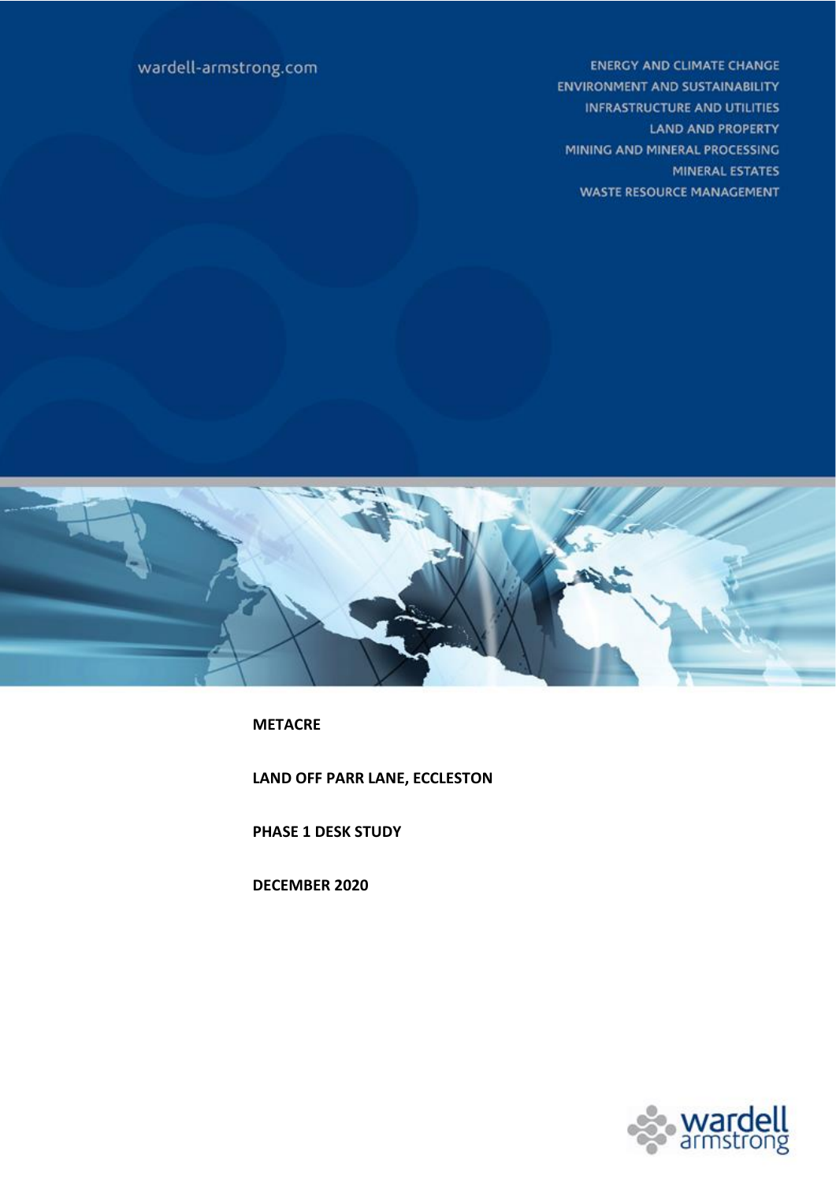**ENERGY AND CLIMATE CHANGE ENVIRONMENT AND SUSTAINABILITY INFRASTRUCTURE AND UTILITIES LAND AND PROPERTY** MINING AND MINERAL PROCESSING MINERAL ESTATES **WASTE RESOURCE MANAGEMENT** 

# wardell-armstrong.com



**METACRE**

**LAND OFF PARR LANE, ECCLESTON**

**PHASE 1 DESK STUDY** 

**DECEMBER 2020**

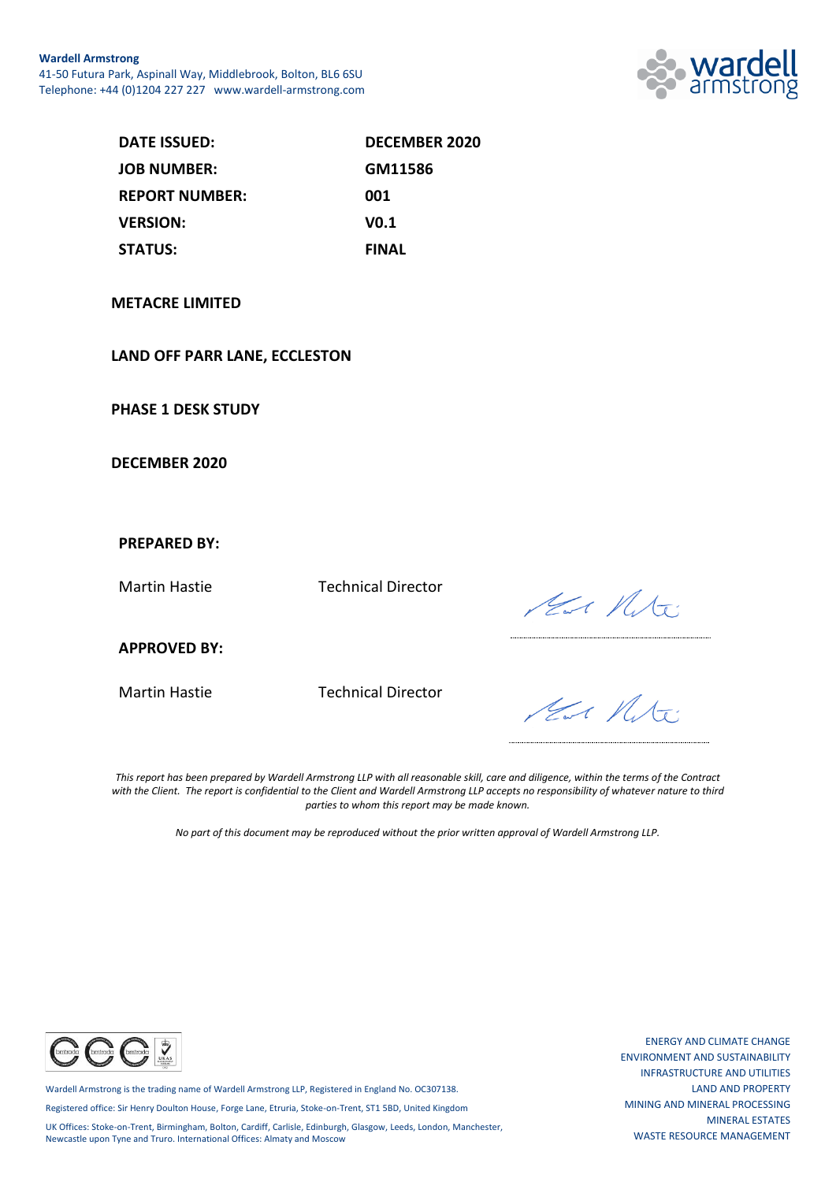

| DATE ISSUED:          | <b>DECEMBER 2020</b> |
|-----------------------|----------------------|
| <b>JOB NUMBER:</b>    | GM11586              |
| <b>REPORT NUMBER:</b> | 001                  |
| <b>VERSION:</b>       | V <sub>0.1</sub>     |
| <b>STATUS:</b>        | <b>FINAL</b>         |

#### **METACRE LIMITED**

#### **LAND OFF PARR LANE, ECCLESTON**

**PHASE 1 DESK STUDY**

**DECEMBER 2020**

#### **PREPARED BY:**

Martin Hastie Technical Director

Har Mite

**APPROVED BY:**

Martin Hastie Technical Director

Har Mit:

*This report has been prepared by Wardell Armstrong LLP with all reasonable skill, care and diligence, within the terms of the Contract with the Client. The report is confidential to the Client and Wardell Armstrong LLP accepts no responsibility of whatever nature to third parties to whom this report may be made known.*

*No part of this document may be reproduced without the prior written approval of Wardell Armstrong LLP.*



Wardell Armstrong is the trading name of Wardell Armstrong LLP, Registered in England No. OC307138.

Registered office: Sir Henry Doulton House, Forge Lane, Etruria, Stoke-on-Trent, ST1 5BD, United Kingdom

UK Offices: Stoke-on-Trent, Birmingham, Bolton, Cardiff, Carlisle, Edinburgh, Glasgow, Leeds, London, Manchester, Newcastle upon Tyne and Truro. International Offices: Almaty and Moscow

ENERGY AND CLIMATE CHANGE ENVIRONMENT AND SUSTAINABILITY INFRASTRUCTURE AND UTILITIES LAND AND PROPERTY MINING AND MINERAL PROCESSING MINERAL ESTATES WASTE RESOURCE MANAGEMENT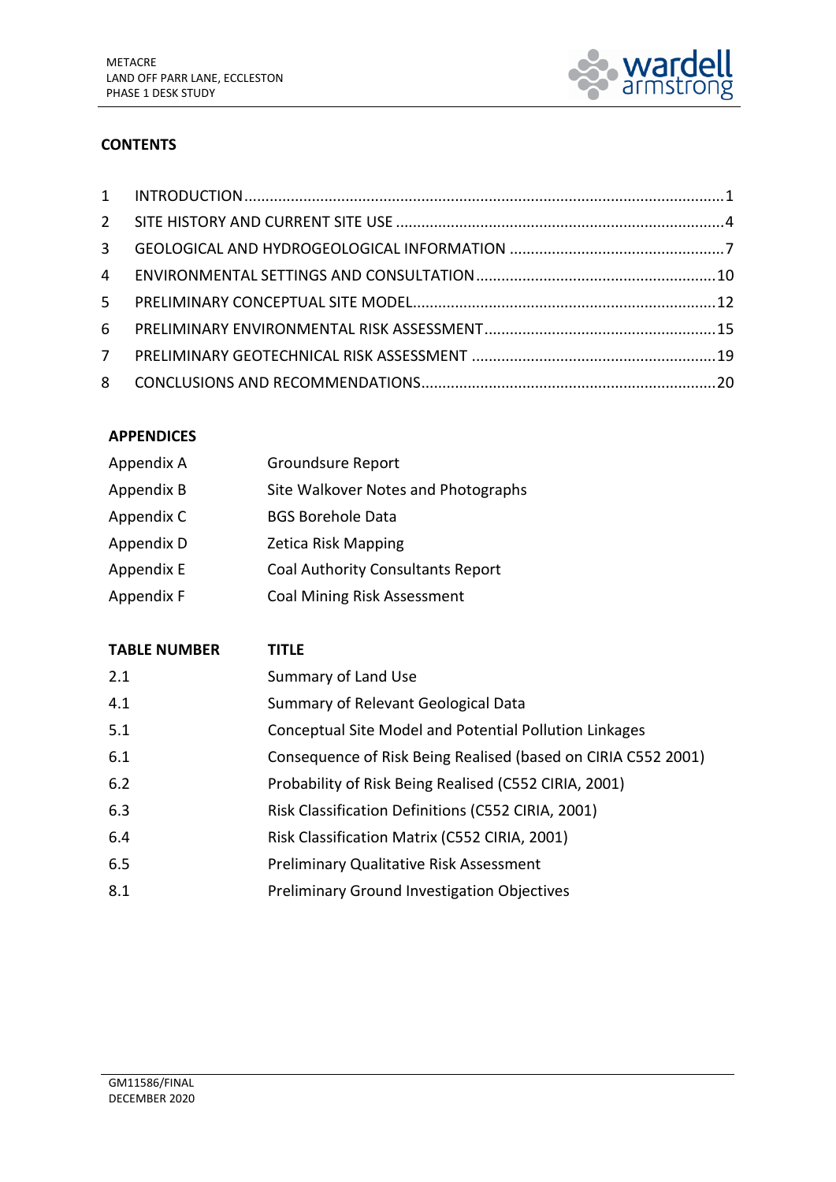

## **CONTENTS**

| 3 <sup>7</sup> |  |
|----------------|--|
|                |  |
|                |  |
|                |  |
| 7              |  |
|                |  |

## **APPENDICES**

| Appendix A | <b>Groundsure Report</b>            |
|------------|-------------------------------------|
| Appendix B | Site Walkover Notes and Photographs |
| Appendix C | <b>BGS Borehole Data</b>            |
| Appendix D | Zetica Risk Mapping                 |
| Appendix E | Coal Authority Consultants Report   |
| Appendix F | <b>Coal Mining Risk Assessment</b>  |

| <b>TABLE NUMBER</b> | TITLE                                                         |
|---------------------|---------------------------------------------------------------|
| 2.1                 | Summary of Land Use                                           |
| 4.1                 | Summary of Relevant Geological Data                           |
| 5.1                 | <b>Conceptual Site Model and Potential Pollution Linkages</b> |
| 6.1                 | Consequence of Risk Being Realised (based on CIRIA C552 2001) |
| 6.2                 | Probability of Risk Being Realised (C552 CIRIA, 2001)         |
| 6.3                 | Risk Classification Definitions (C552 CIRIA, 2001)            |
| 6.4                 | Risk Classification Matrix (C552 CIRIA, 2001)                 |
| 6.5                 | <b>Preliminary Qualitative Risk Assessment</b>                |
| 8.1                 | <b>Preliminary Ground Investigation Objectives</b>            |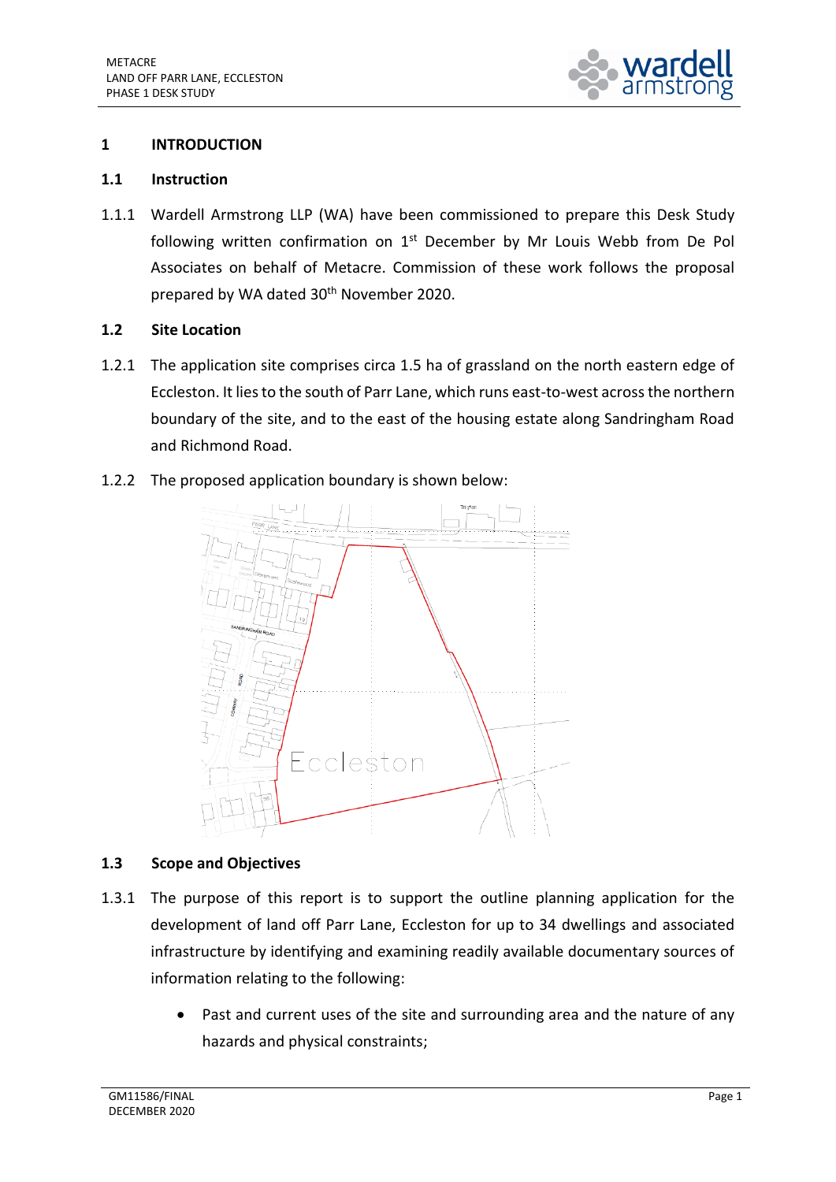

## <span id="page-3-0"></span>**1 INTRODUCTION**

### **1.1 Instruction**

1.1.1 Wardell Armstrong LLP (WA) have been commissioned to prepare this Desk Study following written confirmation on 1<sup>st</sup> December by Mr Louis Webb from De Pol Associates on behalf of Metacre. Commission of these work follows the proposal prepared by WA dated 30<sup>th</sup> November 2020.

## **1.2 Site Location**

1.2.1 The application site comprises circa 1.5 ha of grassland on the north eastern edge of Eccleston. It lies to the south of Parr Lane, which runs east-to-west across the northern boundary of the site, and to the east of the housing estate along Sandringham Road and Richmond Road.

## 1.2.2 The proposed application boundary is shown below:



## **1.3 Scope and Objectives**

- 1.3.1 The purpose of this report is to support the outline planning application for the development of land off Parr Lane, Eccleston for up to 34 dwellings and associated infrastructure by identifying and examining readily available documentary sources of information relating to the following:
	- Past and current uses of the site and surrounding area and the nature of any hazards and physical constraints;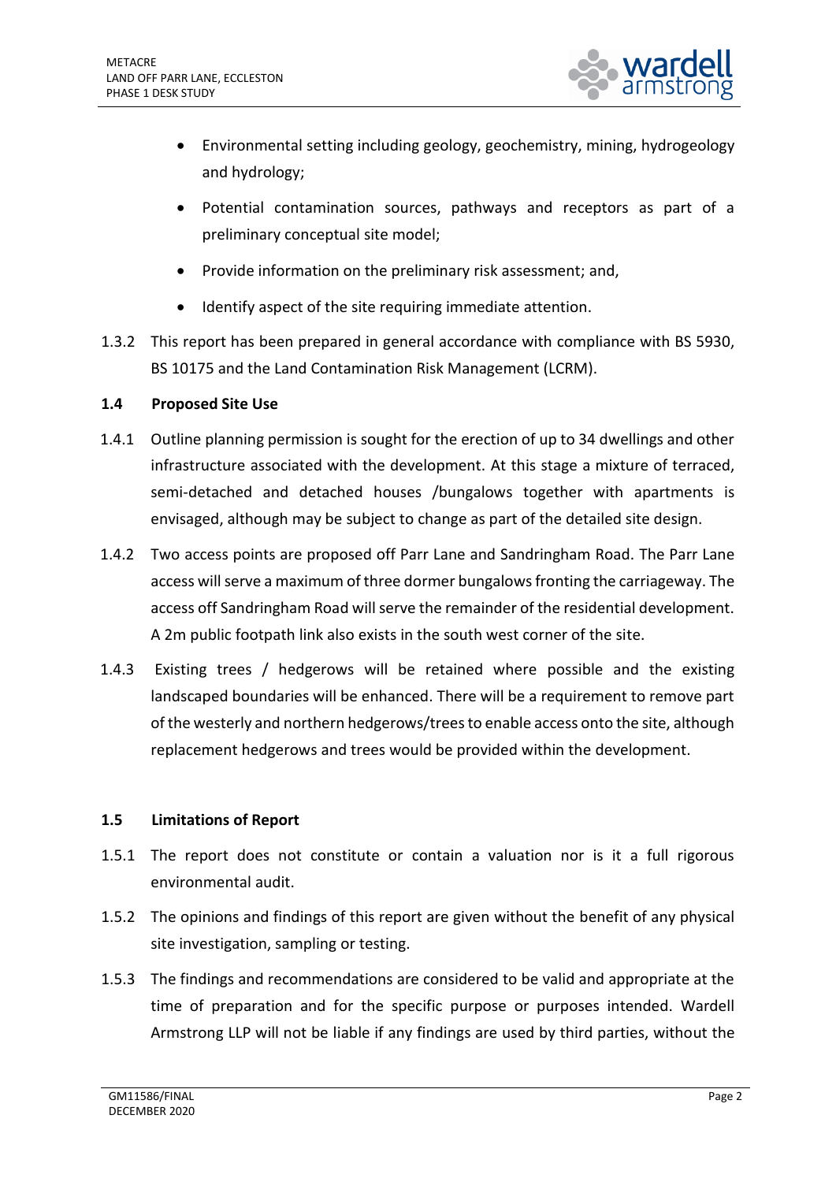

- Environmental setting including geology, geochemistry, mining, hydrogeology and hydrology;
- Potential contamination sources, pathways and receptors as part of a preliminary conceptual site model;
- Provide information on the preliminary risk assessment; and,
- Identify aspect of the site requiring immediate attention.
- 1.3.2 This report has been prepared in general accordance with compliance with BS 5930, BS 10175 and the Land Contamination Risk Management (LCRM).

## **1.4 Proposed Site Use**

- 1.4.1 Outline planning permission is sought for the erection of up to 34 dwellings and other infrastructure associated with the development. At this stage a mixture of terraced, semi-detached and detached houses /bungalows together with apartments is envisaged, although may be subject to change as part of the detailed site design.
- 1.4.2 Two access points are proposed off Parr Lane and Sandringham Road. The Parr Lane access will serve a maximum of three dormer bungalows fronting the carriageway. The access off Sandringham Road will serve the remainder of the residential development. A 2m public footpath link also exists in the south west corner of the site.
- 1.4.3 Existing trees / hedgerows will be retained where possible and the existing landscaped boundaries will be enhanced. There will be a requirement to remove part of the westerly and northern hedgerows/trees to enable access onto the site, although replacement hedgerows and trees would be provided within the development.

## **1.5 Limitations of Report**

- 1.5.1 The report does not constitute or contain a valuation nor is it a full rigorous environmental audit.
- 1.5.2 The opinions and findings of this report are given without the benefit of any physical site investigation, sampling or testing.
- 1.5.3 The findings and recommendations are considered to be valid and appropriate at the time of preparation and for the specific purpose or purposes intended. Wardell Armstrong LLP will not be liable if any findings are used by third parties, without the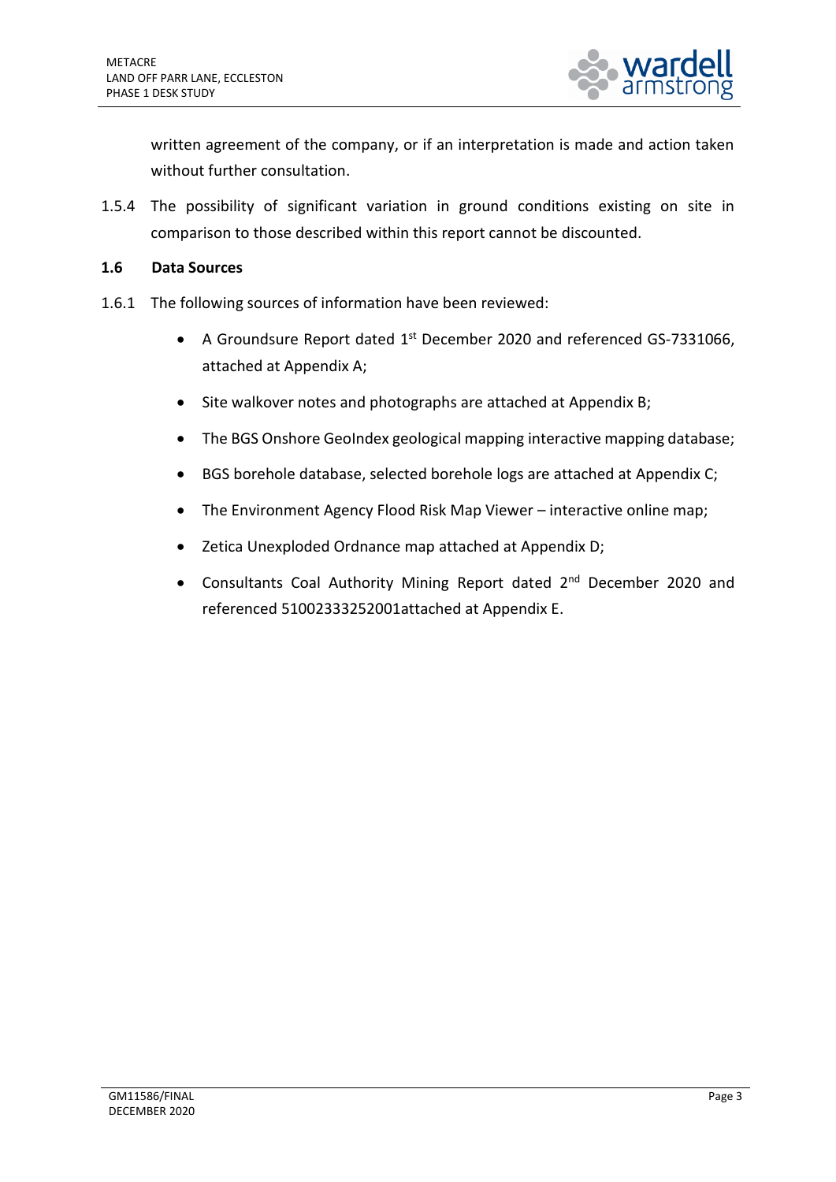

written agreement of the company, or if an interpretation is made and action taken without further consultation.

1.5.4 The possibility of significant variation in ground conditions existing on site in comparison to those described within this report cannot be discounted.

### **1.6 Data Sources**

- 1.6.1 The following sources of information have been reviewed:
	- A Groundsure Report dated  $1<sup>st</sup>$  December 2020 and referenced GS-7331066, attached at Appendix A;
	- Site walkover notes and photographs are attached at Appendix B;
	- The BGS Onshore GeoIndex geological mapping interactive mapping database;
	- BGS borehole database, selected borehole logs are attached at Appendix C;
	- The Environment Agency Flood Risk Map Viewer interactive online map;
	- Zetica Unexploded Ordnance map attached at Appendix D;
	- Consultants Coal Authority Mining Report dated 2<sup>nd</sup> December 2020 and referenced 51002333252001attached at Appendix E.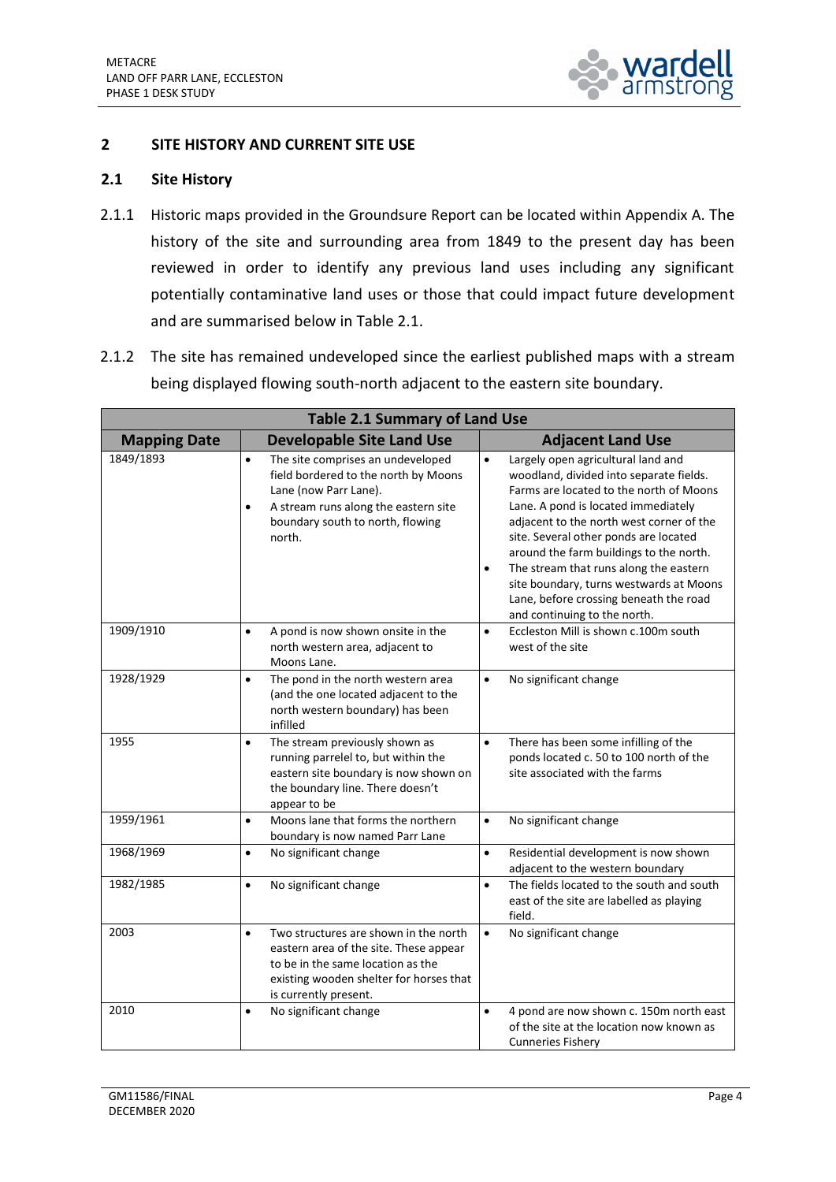

## <span id="page-6-0"></span>**2 SITE HISTORY AND CURRENT SITE USE**

### **2.1 Site History**

- 2.1.1 Historic maps provided in the Groundsure Report can be located within Appendix A. The history of the site and surrounding area from 1849 to the present day has been reviewed in order to identify any previous land uses including any significant potentially contaminative land uses or those that could impact future development and are summarised below in Table 2.1.
- 2.1.2 The site has remained undeveloped since the earliest published maps with a stream being displayed flowing south-north adjacent to the eastern site boundary.

| <b>Table 2.1 Summary of Land Use</b> |                                                                                                                                                                                                                    |                                                                                                                                                                                                                                                                                                                                                                                                                                                                                          |
|--------------------------------------|--------------------------------------------------------------------------------------------------------------------------------------------------------------------------------------------------------------------|------------------------------------------------------------------------------------------------------------------------------------------------------------------------------------------------------------------------------------------------------------------------------------------------------------------------------------------------------------------------------------------------------------------------------------------------------------------------------------------|
| <b>Mapping Date</b>                  | <b>Developable Site Land Use</b>                                                                                                                                                                                   | <b>Adjacent Land Use</b>                                                                                                                                                                                                                                                                                                                                                                                                                                                                 |
| 1849/1893                            | The site comprises an undeveloped<br>$\bullet$<br>field bordered to the north by Moons<br>Lane (now Parr Lane).<br>A stream runs along the eastern site<br>$\bullet$<br>boundary south to north, flowing<br>north. | Largely open agricultural land and<br>$\bullet$<br>woodland, divided into separate fields.<br>Farms are located to the north of Moons<br>Lane. A pond is located immediately<br>adjacent to the north west corner of the<br>site. Several other ponds are located<br>around the farm buildings to the north.<br>The stream that runs along the eastern<br>$\bullet$<br>site boundary, turns westwards at Moons<br>Lane, before crossing beneath the road<br>and continuing to the north. |
| 1909/1910                            | A pond is now shown onsite in the<br>$\bullet$<br>north western area, adjacent to<br>Moons Lane.                                                                                                                   | Eccleston Mill is shown c.100m south<br>$\bullet$<br>west of the site                                                                                                                                                                                                                                                                                                                                                                                                                    |
| 1928/1929                            | The pond in the north western area<br>$\bullet$<br>(and the one located adjacent to the<br>north western boundary) has been<br>infilled                                                                            | No significant change<br>$\bullet$                                                                                                                                                                                                                                                                                                                                                                                                                                                       |
| 1955                                 | The stream previously shown as<br>$\bullet$<br>running parrelel to, but within the<br>eastern site boundary is now shown on<br>the boundary line. There doesn't<br>appear to be                                    | There has been some infilling of the<br>$\bullet$<br>ponds located c. 50 to 100 north of the<br>site associated with the farms                                                                                                                                                                                                                                                                                                                                                           |
| 1959/1961                            | Moons lane that forms the northern<br>$\bullet$<br>boundary is now named Parr Lane                                                                                                                                 | No significant change<br>$\bullet$                                                                                                                                                                                                                                                                                                                                                                                                                                                       |
| 1968/1969                            | No significant change<br>$\bullet$                                                                                                                                                                                 | $\bullet$<br>Residential development is now shown<br>adjacent to the western boundary                                                                                                                                                                                                                                                                                                                                                                                                    |
| 1982/1985                            | No significant change<br>$\bullet$                                                                                                                                                                                 | The fields located to the south and south<br>$\bullet$<br>east of the site are labelled as playing<br>field.                                                                                                                                                                                                                                                                                                                                                                             |
| 2003                                 | Two structures are shown in the north<br>$\bullet$<br>eastern area of the site. These appear<br>to be in the same location as the<br>existing wooden shelter for horses that<br>is currently present.              | No significant change<br>$\bullet$                                                                                                                                                                                                                                                                                                                                                                                                                                                       |
| 2010                                 | No significant change<br>$\bullet$                                                                                                                                                                                 | 4 pond are now shown c. 150m north east<br>$\bullet$<br>of the site at the location now known as<br><b>Cunneries Fishery</b>                                                                                                                                                                                                                                                                                                                                                             |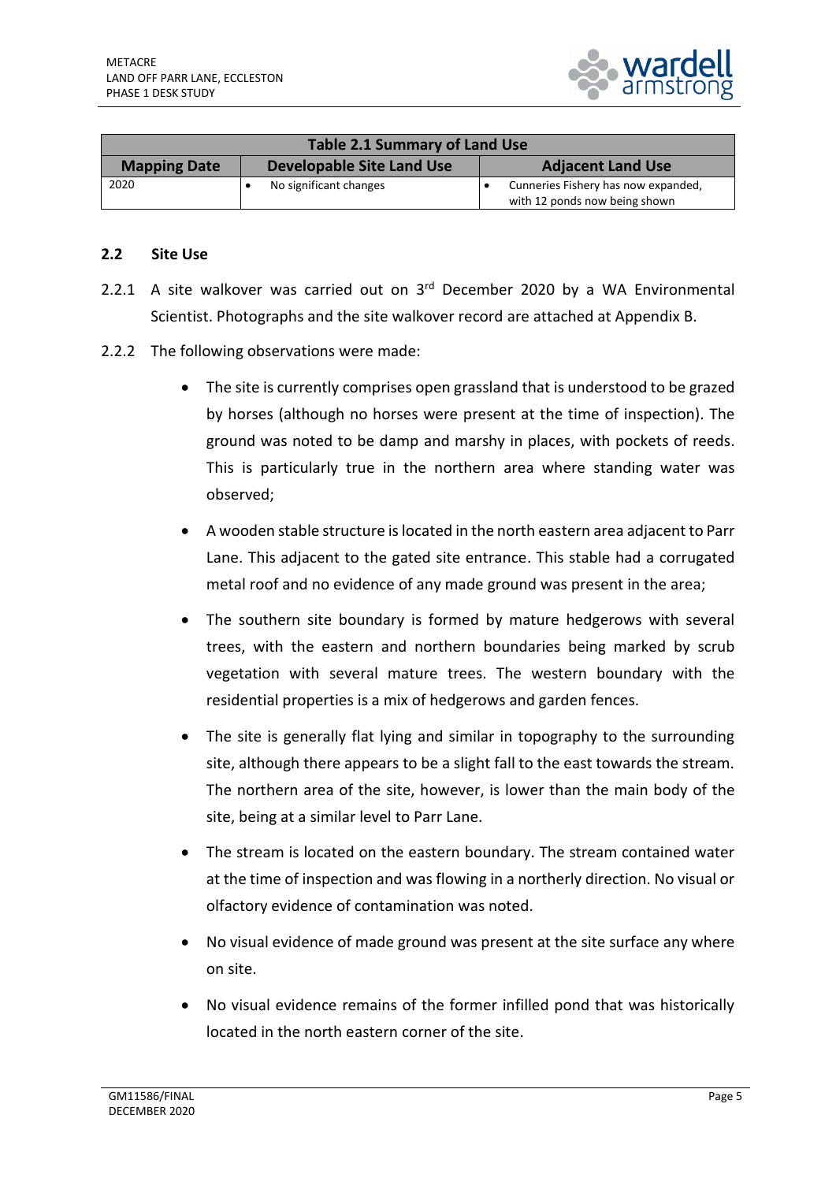

| Table 2.1 Summary of Land Use |                           |                                                                      |
|-------------------------------|---------------------------|----------------------------------------------------------------------|
| <b>Mapping Date</b>           | Developable Site Land Use | <b>Adjacent Land Use</b>                                             |
| 2020                          | No significant changes    | Cunneries Fishery has now expanded,<br>with 12 ponds now being shown |

### **2.2 Site Use**

- 2.2.1 A site walkover was carried out on  $3<sup>rd</sup>$  December 2020 by a WA Environmental Scientist. Photographs and the site walkover record are attached at Appendix B.
- 2.2.2 The following observations were made:
	- The site is currently comprises open grassland that is understood to be grazed by horses (although no horses were present at the time of inspection). The ground was noted to be damp and marshy in places, with pockets of reeds. This is particularly true in the northern area where standing water was observed;
	- A wooden stable structure is located in the north eastern area adjacent to Parr Lane. This adjacent to the gated site entrance. This stable had a corrugated metal roof and no evidence of any made ground was present in the area;
	- The southern site boundary is formed by mature hedgerows with several trees, with the eastern and northern boundaries being marked by scrub vegetation with several mature trees. The western boundary with the residential properties is a mix of hedgerows and garden fences.
	- The site is generally flat lying and similar in topography to the surrounding site, although there appears to be a slight fall to the east towards the stream. The northern area of the site, however, is lower than the main body of the site, being at a similar level to Parr Lane.
	- The stream is located on the eastern boundary. The stream contained water at the time of inspection and was flowing in a northerly direction. No visual or olfactory evidence of contamination was noted.
	- No visual evidence of made ground was present at the site surface any where on site.
	- No visual evidence remains of the former infilled pond that was historically located in the north eastern corner of the site.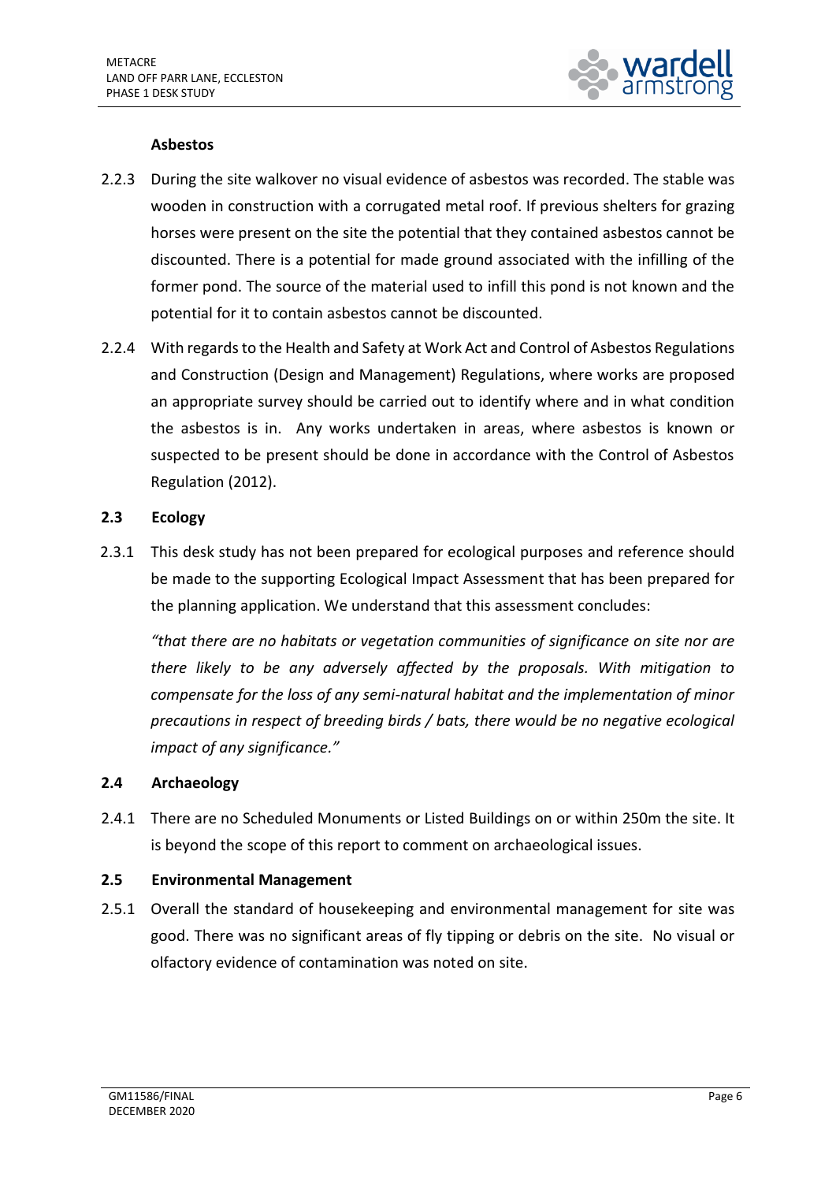

## **Asbestos**

- 2.2.3 During the site walkover no visual evidence of asbestos was recorded. The stable was wooden in construction with a corrugated metal roof. If previous shelters for grazing horses were present on the site the potential that they contained asbestos cannot be discounted. There is a potential for made ground associated with the infilling of the former pond. The source of the material used to infill this pond is not known and the potential for it to contain asbestos cannot be discounted.
- 2.2.4 With regards to the Health and Safety at Work Act and Control of Asbestos Regulations and Construction (Design and Management) Regulations, where works are proposed an appropriate survey should be carried out to identify where and in what condition the asbestos is in. Any works undertaken in areas, where asbestos is known or suspected to be present should be done in accordance with the Control of Asbestos Regulation (2012).

## **2.3 Ecology**

2.3.1 This desk study has not been prepared for ecological purposes and reference should be made to the supporting Ecological Impact Assessment that has been prepared for the planning application. We understand that this assessment concludes:

*"that there are no habitats or vegetation communities of significance on site nor are there likely to be any adversely affected by the proposals. With mitigation to compensate for the loss of any semi-natural habitat and the implementation of minor precautions in respect of breeding birds / bats, there would be no negative ecological impact of any significance."*

## **2.4 Archaeology**

2.4.1 There are no Scheduled Monuments or Listed Buildings on or within 250m the site. It is beyond the scope of this report to comment on archaeological issues.

## **2.5 Environmental Management**

2.5.1 Overall the standard of housekeeping and environmental management for site was good. There was no significant areas of fly tipping or debris on the site. No visual or olfactory evidence of contamination was noted on site.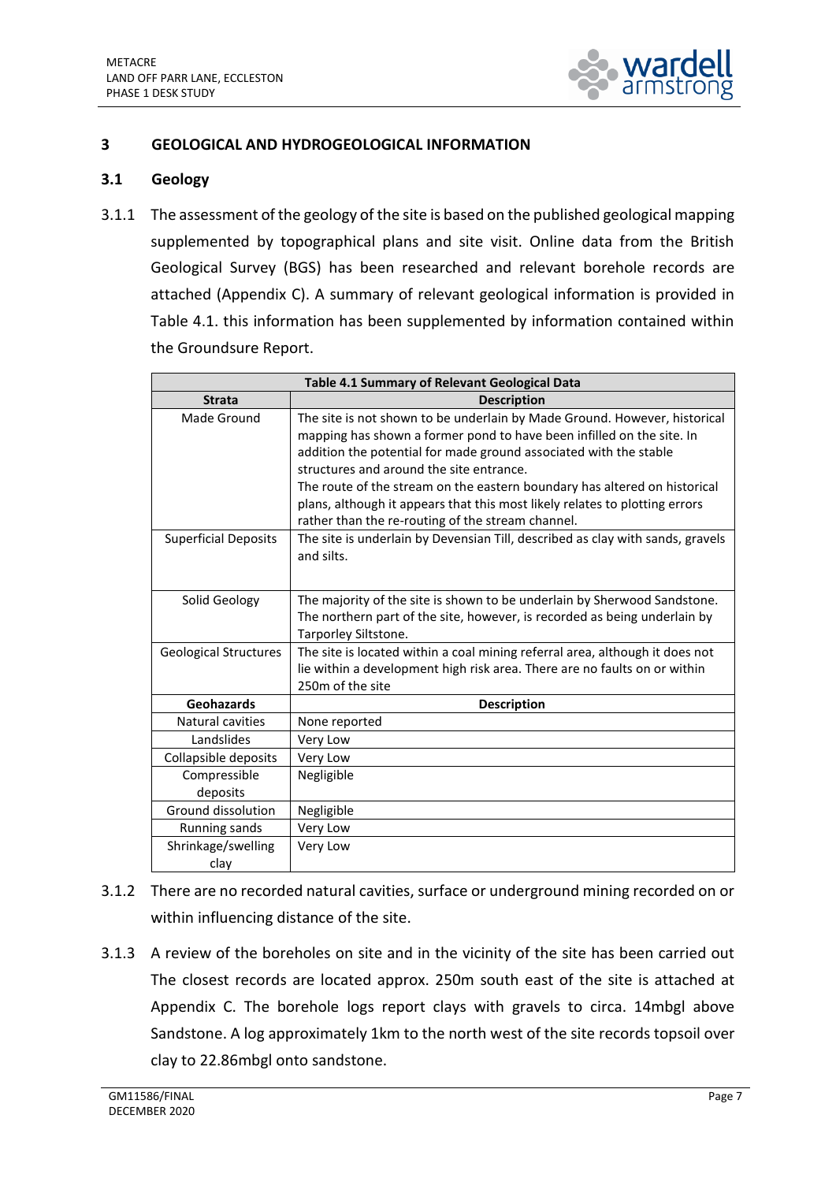

## <span id="page-9-0"></span>**3 GEOLOGICAL AND HYDROGEOLOGICAL INFORMATION**

### **3.1 Geology**

3.1.1 The assessment of the geology of the site is based on the published geological mapping supplemented by topographical plans and site visit. Online data from the British Geological Survey (BGS) has been researched and relevant borehole records are attached (Appendix C). A summary of relevant geological information is provided in Table 4.1. this information has been supplemented by information contained within the Groundsure Report.

| <b>Table 4.1 Summary of Relevant Geological Data</b> |                                                                                                                                                                                                                                                                                                                                                                                                                                                                                      |  |
|------------------------------------------------------|--------------------------------------------------------------------------------------------------------------------------------------------------------------------------------------------------------------------------------------------------------------------------------------------------------------------------------------------------------------------------------------------------------------------------------------------------------------------------------------|--|
| <b>Strata</b>                                        | <b>Description</b>                                                                                                                                                                                                                                                                                                                                                                                                                                                                   |  |
| Made Ground                                          | The site is not shown to be underlain by Made Ground. However, historical<br>mapping has shown a former pond to have been infilled on the site. In<br>addition the potential for made ground associated with the stable<br>structures and around the site entrance.<br>The route of the stream on the eastern boundary has altered on historical<br>plans, although it appears that this most likely relates to plotting errors<br>rather than the re-routing of the stream channel. |  |
| <b>Superficial Deposits</b>                          | The site is underlain by Devensian Till, described as clay with sands, gravels<br>and silts.                                                                                                                                                                                                                                                                                                                                                                                         |  |
| Solid Geology                                        | The majority of the site is shown to be underlain by Sherwood Sandstone.<br>The northern part of the site, however, is recorded as being underlain by<br>Tarporley Siltstone.                                                                                                                                                                                                                                                                                                        |  |
| <b>Geological Structures</b>                         | The site is located within a coal mining referral area, although it does not<br>lie within a development high risk area. There are no faults on or within<br>250m of the site                                                                                                                                                                                                                                                                                                        |  |
| Geohazards                                           | <b>Description</b>                                                                                                                                                                                                                                                                                                                                                                                                                                                                   |  |
| Natural cavities                                     | None reported                                                                                                                                                                                                                                                                                                                                                                                                                                                                        |  |
| Landslides                                           | Very Low                                                                                                                                                                                                                                                                                                                                                                                                                                                                             |  |
| Collapsible deposits                                 | Very Low                                                                                                                                                                                                                                                                                                                                                                                                                                                                             |  |
| Compressible<br>deposits                             | Negligible                                                                                                                                                                                                                                                                                                                                                                                                                                                                           |  |
| Ground dissolution                                   | Negligible                                                                                                                                                                                                                                                                                                                                                                                                                                                                           |  |
| Running sands                                        | Very Low                                                                                                                                                                                                                                                                                                                                                                                                                                                                             |  |
| Shrinkage/swelling<br>clay                           | Very Low                                                                                                                                                                                                                                                                                                                                                                                                                                                                             |  |

- 3.1.2 There are no recorded natural cavities, surface or underground mining recorded on or within influencing distance of the site.
- 3.1.3 A review of the boreholes on site and in the vicinity of the site has been carried out The closest records are located approx. 250m south east of the site is attached at Appendix C. The borehole logs report clays with gravels to circa. 14mbgl above Sandstone. A log approximately 1km to the north west of the site records topsoil over clay to 22.86mbgl onto sandstone.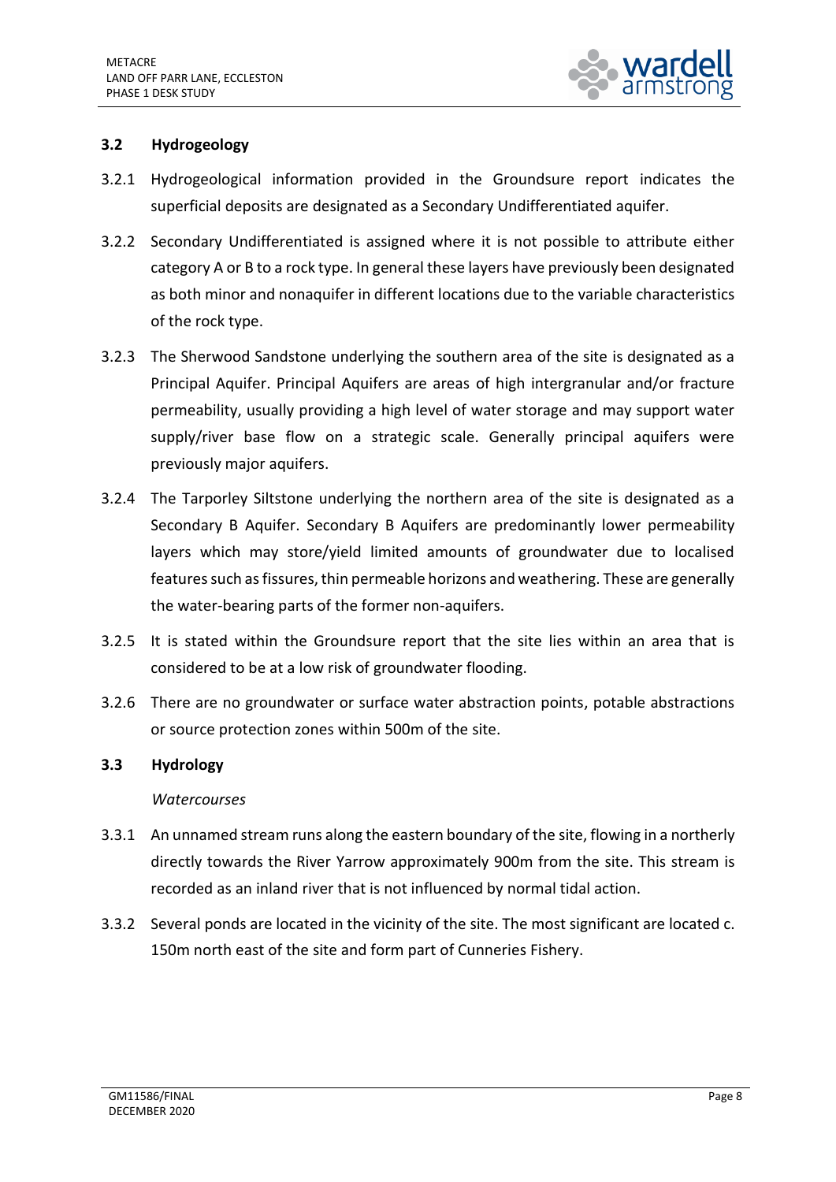

## **3.2 Hydrogeology**

- 3.2.1 Hydrogeological information provided in the Groundsure report indicates the superficial deposits are designated as a Secondary Undifferentiated aquifer.
- 3.2.2 Secondary Undifferentiated is assigned where it is not possible to attribute either category A or B to a rock type. In general these layers have previously been designated as both minor and nonaquifer in different locations due to the variable characteristics of the rock type.
- 3.2.3 The Sherwood Sandstone underlying the southern area of the site is designated as a Principal Aquifer. Principal Aquifers are areas of high intergranular and/or fracture permeability, usually providing a high level of water storage and may support water supply/river base flow on a strategic scale. Generally principal aquifers were previously major aquifers.
- 3.2.4 The Tarporley Siltstone underlying the northern area of the site is designated as a Secondary B Aquifer. Secondary B Aquifers are predominantly lower permeability layers which may store/yield limited amounts of groundwater due to localised features such as fissures, thin permeable horizons and weathering. These are generally the water-bearing parts of the former non-aquifers.
- 3.2.5 It is stated within the Groundsure report that the site lies within an area that is considered to be at a low risk of groundwater flooding.
- 3.2.6 There are no groundwater or surface water abstraction points, potable abstractions or source protection zones within 500m of the site.

## **3.3 Hydrology**

#### *Watercourses*

- 3.3.1 An unnamed stream runs along the eastern boundary of the site, flowing in a northerly directly towards the River Yarrow approximately 900m from the site. This stream is recorded as an inland river that is not influenced by normal tidal action.
- 3.3.2 Several ponds are located in the vicinity of the site. The most significant are located c. 150m north east of the site and form part of Cunneries Fishery.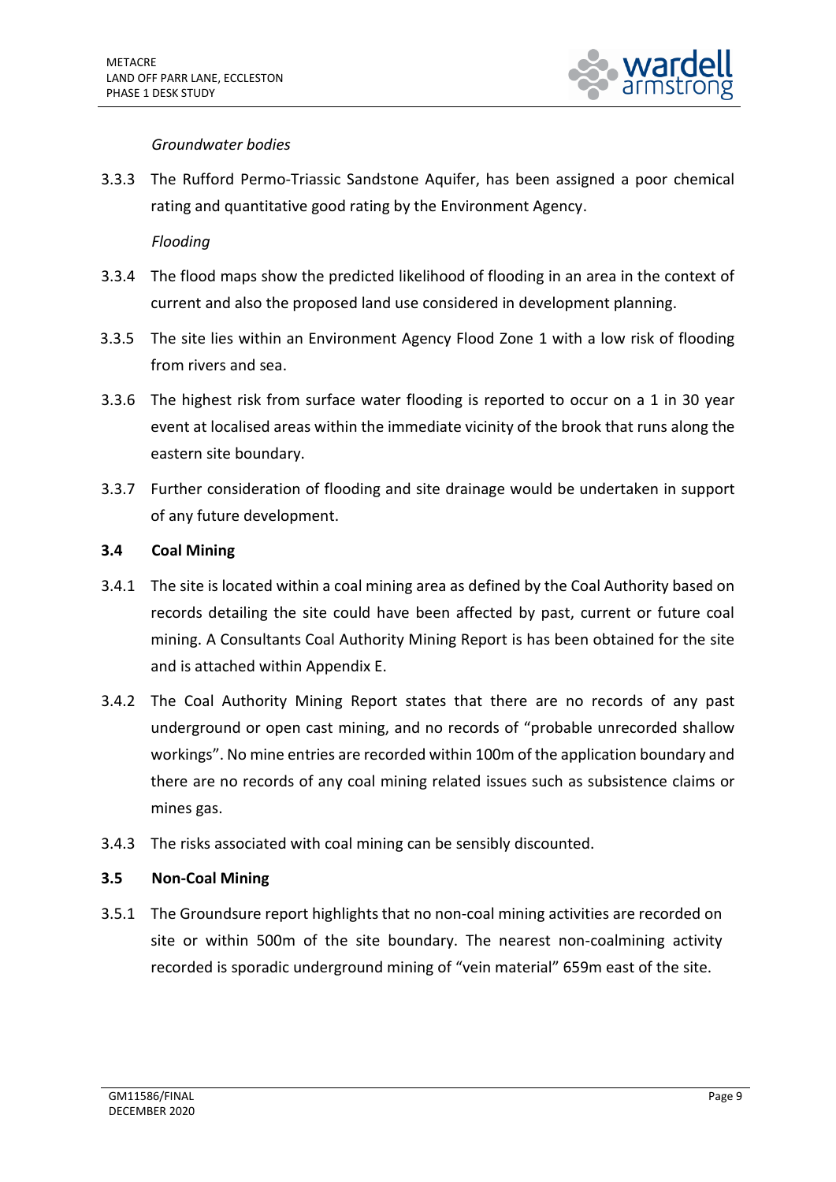

### *Groundwater bodies*

3.3.3 The Rufford Permo-Triassic Sandstone Aquifer, has been assigned a poor chemical rating and quantitative good rating by the Environment Agency.

*Flooding* 

- 3.3.4 The flood maps show the predicted likelihood of flooding in an area in the context of current and also the proposed land use considered in development planning.
- 3.3.5 The site lies within an Environment Agency Flood Zone 1 with a low risk of flooding from rivers and sea.
- 3.3.6 The highest risk from surface water flooding is reported to occur on a 1 in 30 year event at localised areas within the immediate vicinity of the brook that runs along the eastern site boundary.
- 3.3.7 Further consideration of flooding and site drainage would be undertaken in support of any future development.

### **3.4 Coal Mining**

- 3.4.1 The site is located within a coal mining area as defined by the Coal Authority based on records detailing the site could have been affected by past, current or future coal mining. A Consultants Coal Authority Mining Report is has been obtained for the site and is attached within Appendix E.
- 3.4.2 The Coal Authority Mining Report states that there are no records of any past underground or open cast mining, and no records of "probable unrecorded shallow workings". No mine entries are recorded within 100m of the application boundary and there are no records of any coal mining related issues such as subsistence claims or mines gas.
- 3.4.3 The risks associated with coal mining can be sensibly discounted.

## **3.5 Non-Coal Mining**

3.5.1 The Groundsure report highlights that no non-coal mining activities are recorded on site or within 500m of the site boundary. The nearest non-coalmining activity recorded is sporadic underground mining of "vein material" 659m east of the site.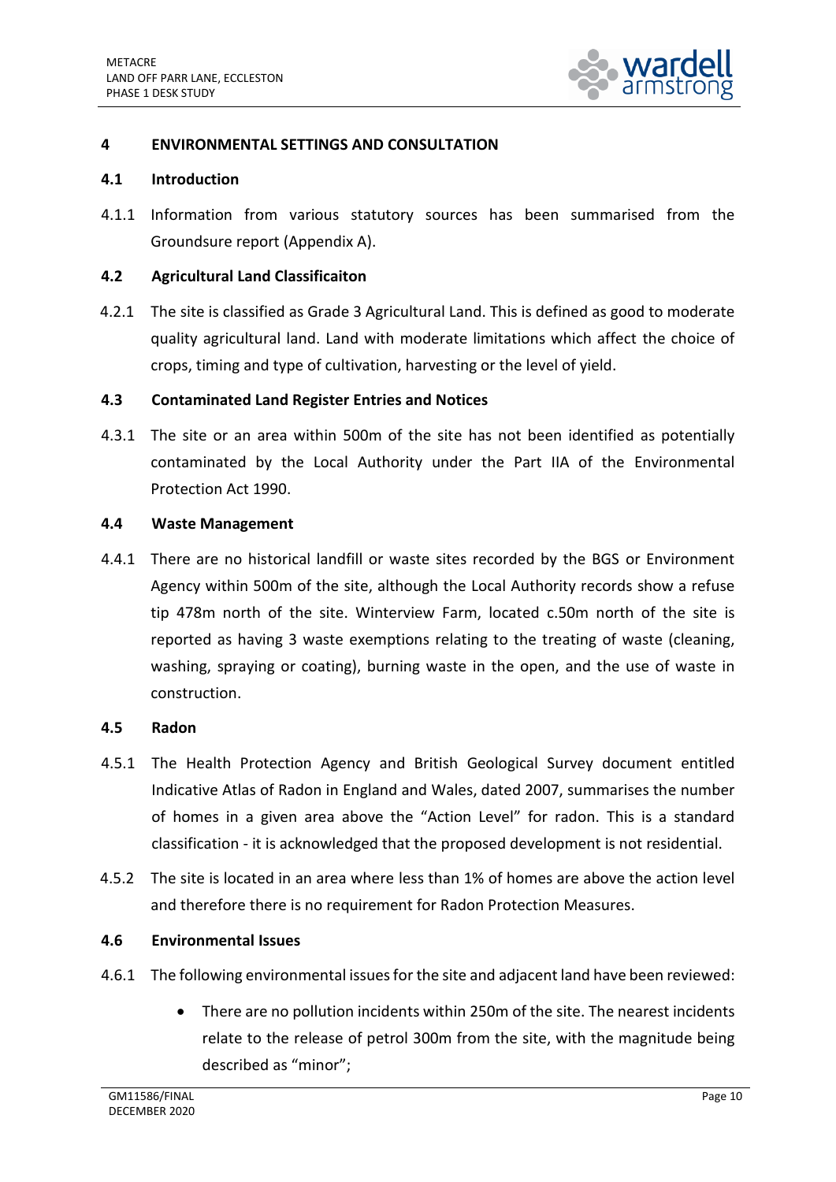

## <span id="page-12-0"></span>**4 ENVIRONMENTAL SETTINGS AND CONSULTATION**

#### **4.1 Introduction**

4.1.1 Information from various statutory sources has been summarised from the Groundsure report (Appendix A).

#### **4.2 Agricultural Land Classificaiton**

4.2.1 The site is classified as Grade 3 Agricultural Land. This is defined as good to moderate quality agricultural land. Land with moderate limitations which affect the choice of crops, timing and type of cultivation, harvesting or the level of yield.

#### **4.3 Contaminated Land Register Entries and Notices**

4.3.1 The site or an area within 500m of the site has not been identified as potentially contaminated by the Local Authority under the Part IIA of the Environmental Protection Act 1990.

#### **4.4 Waste Management**

4.4.1 There are no historical landfill or waste sites recorded by the BGS or Environment Agency within 500m of the site, although the Local Authority records show a refuse tip 478m north of the site. Winterview Farm, located c.50m north of the site is reported as having 3 waste exemptions relating to the treating of waste (cleaning, washing, spraying or coating), burning waste in the open, and the use of waste in construction.

#### **4.5 Radon**

- 4.5.1 The Health Protection Agency and British Geological Survey document entitled Indicative Atlas of Radon in England and Wales, dated 2007, summarises the number of homes in a given area above the "Action Level" for radon. This is a standard classification - it is acknowledged that the proposed development is not residential.
- 4.5.2 The site is located in an area where less than 1% of homes are above the action level and therefore there is no requirement for Radon Protection Measures.

#### **4.6 Environmental Issues**

- 4.6.1 The following environmental issues for the site and adjacent land have been reviewed:
	- There are no pollution incidents within 250m of the site. The nearest incidents relate to the release of petrol 300m from the site, with the magnitude being described as "minor";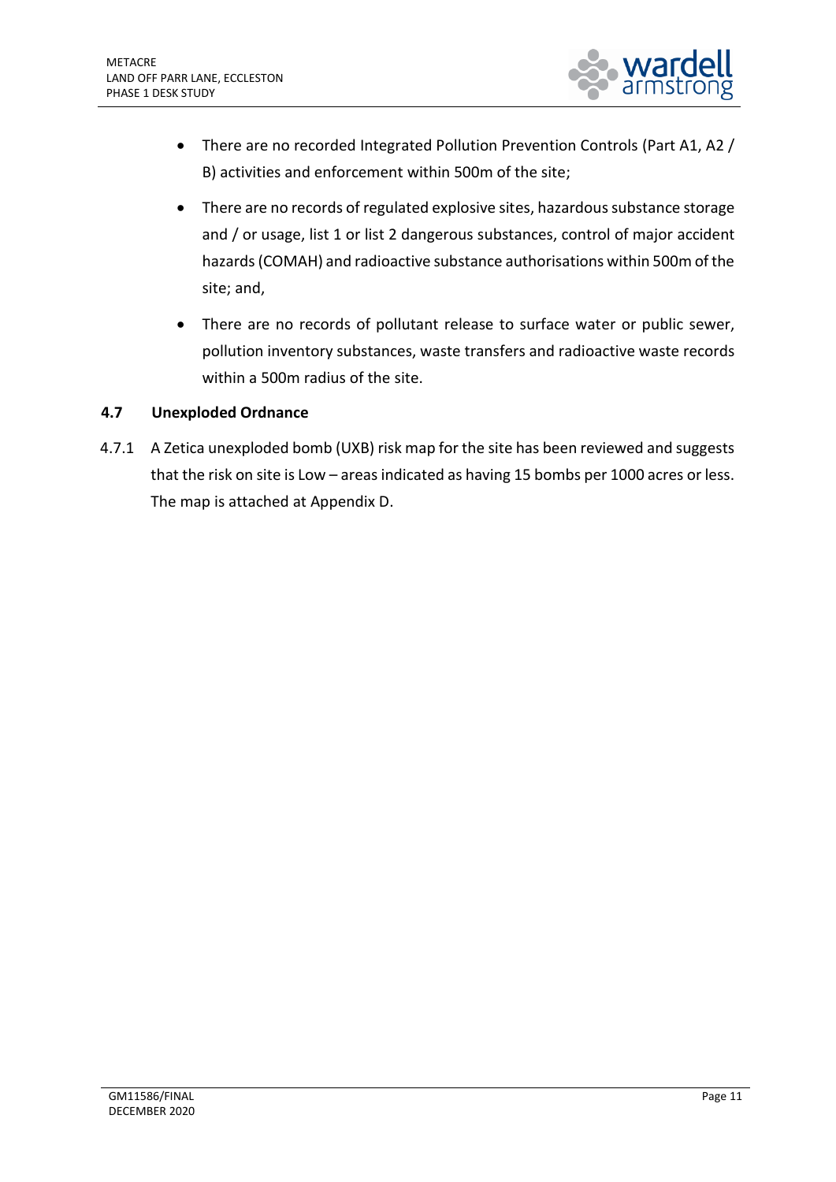

- There are no recorded Integrated Pollution Prevention Controls (Part A1, A2 / B) activities and enforcement within 500m of the site;
- There are no records of regulated explosive sites, hazardous substance storage and / or usage, list 1 or list 2 dangerous substances, control of major accident hazards (COMAH) and radioactive substance authorisations within 500m of the site; and,
- There are no records of pollutant release to surface water or public sewer, pollution inventory substances, waste transfers and radioactive waste records within a 500m radius of the site.

## **4.7 Unexploded Ordnance**

4.7.1 A Zetica unexploded bomb (UXB) risk map for the site has been reviewed and suggests that the risk on site is Low – areas indicated as having 15 bombs per 1000 acres or less. The map is attached at Appendix D.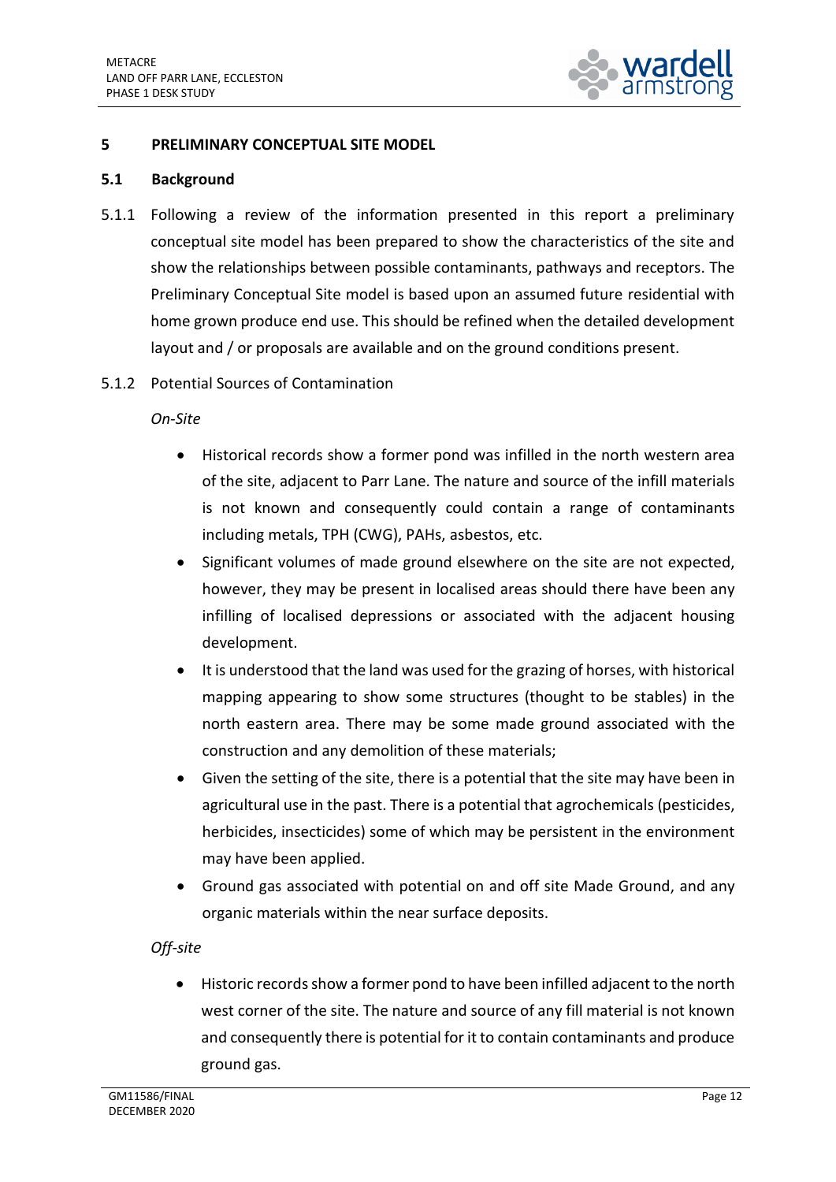

### <span id="page-14-0"></span>**5 PRELIMINARY CONCEPTUAL SITE MODEL**

#### **5.1 Background**

- 5.1.1 Following a review of the information presented in this report a preliminary conceptual site model has been prepared to show the characteristics of the site and show the relationships between possible contaminants, pathways and receptors. The Preliminary Conceptual Site model is based upon an assumed future residential with home grown produce end use. This should be refined when the detailed development layout and / or proposals are available and on the ground conditions present.
- 5.1.2 Potential Sources of Contamination

*On-Site*

- Historical records show a former pond was infilled in the north western area of the site, adjacent to Parr Lane. The nature and source of the infill materials is not known and consequently could contain a range of contaminants including metals, TPH (CWG), PAHs, asbestos, etc.
- Significant volumes of made ground elsewhere on the site are not expected, however, they may be present in localised areas should there have been any infilling of localised depressions or associated with the adjacent housing development.
- It is understood that the land was used for the grazing of horses, with historical mapping appearing to show some structures (thought to be stables) in the north eastern area. There may be some made ground associated with the construction and any demolition of these materials;
- Given the setting of the site, there is a potential that the site may have been in agricultural use in the past. There is a potential that agrochemicals (pesticides, herbicides, insecticides) some of which may be persistent in the environment may have been applied.
- Ground gas associated with potential on and off site Made Ground, and any organic materials within the near surface deposits.

## *Off-site*

• Historic records show a former pond to have been infilled adjacent to the north west corner of the site. The nature and source of any fill material is not known and consequently there is potential for it to contain contaminants and produce ground gas.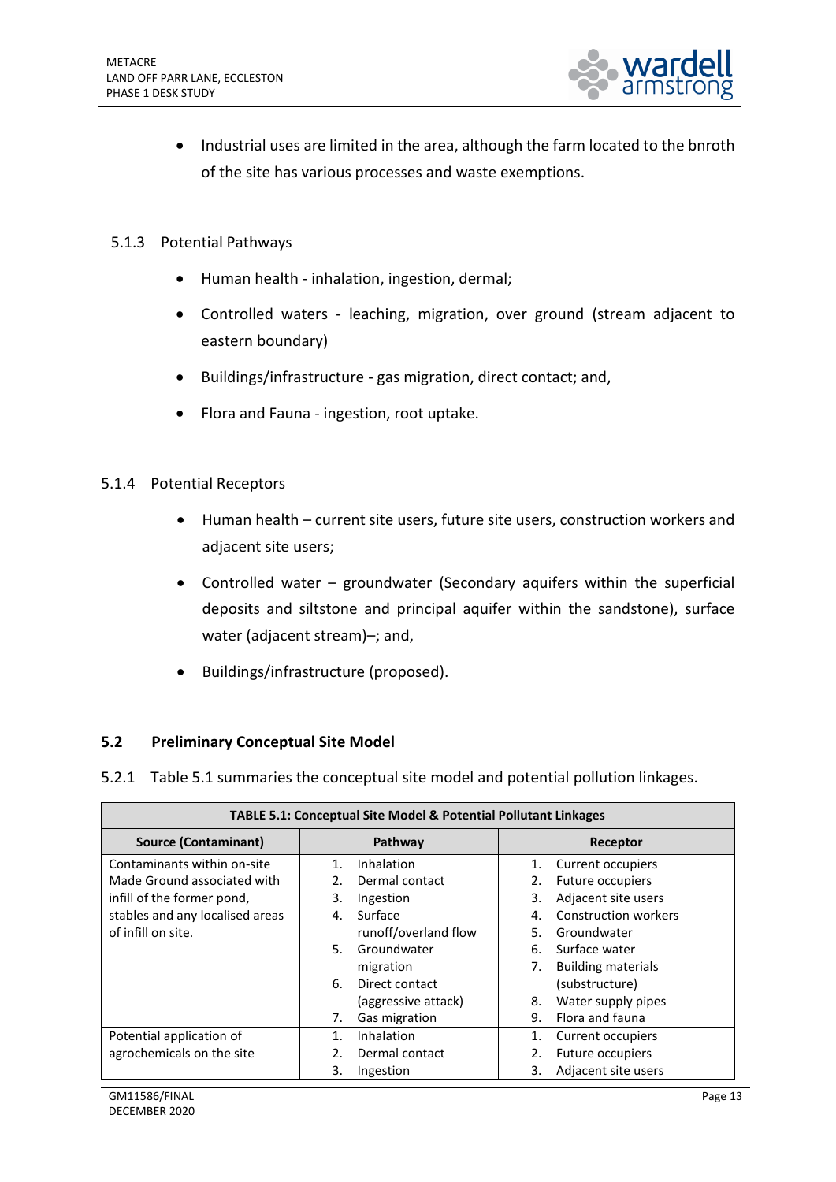

- Industrial uses are limited in the area, although the farm located to the bnroth of the site has various processes and waste exemptions.
- 5.1.3 Potential Pathways
	- Human health inhalation, ingestion, dermal;
	- Controlled waters leaching, migration, over ground (stream adjacent to eastern boundary)
	- Buildings/infrastructure gas migration, direct contact; and,
	- Flora and Fauna ingestion, root uptake.

#### 5.1.4 Potential Receptors

- Human health current site users, future site users, construction workers and adjacent site users;
- Controlled water groundwater (Secondary aquifers within the superficial deposits and siltstone and principal aquifer within the sandstone), surface water (adjacent stream)–; and,
- Buildings/infrastructure (proposed).

#### **5.2 Preliminary Conceptual Site Model**

5.2.1 Table 5.1 summaries the conceptual site model and potential pollution linkages.

| <b>TABLE 5.1: Conceptual Site Model &amp; Potential Pollutant Linkages</b> |                       |                                   |
|----------------------------------------------------------------------------|-----------------------|-----------------------------------|
| Source (Contaminant)                                                       | Pathway               | Receptor                          |
| Contaminants within on-site                                                | Inhalation<br>$1_{-}$ | Current occupiers<br>1.           |
| Made Ground associated with                                                | Dermal contact<br>2.  | Future occupiers                  |
| infill of the former pond,                                                 | 3.<br>Ingestion       | Adjacent site users<br>3.         |
| stables and any localised areas                                            | Surface<br>4.         | <b>Construction workers</b><br>4. |
| of infill on site.                                                         | runoff/overland flow  | Groundwater<br>5.                 |
|                                                                            | Groundwater<br>5.     | Surface water<br>6.               |
|                                                                            | migration             | <b>Building materials</b><br>7.   |
|                                                                            | 6.<br>Direct contact  | (substructure)                    |
|                                                                            | (aggressive attack)   | Water supply pipes<br>8.          |
|                                                                            | Gas migration<br>7.   | Flora and fauna<br>9.             |
| Potential application of                                                   | Inhalation<br>$1_{-}$ | Current occupiers                 |
| agrochemicals on the site                                                  | Dermal contact<br>2.  | Future occupiers                  |
|                                                                            | 3.<br>Ingestion       | Adjacent site users<br>3.         |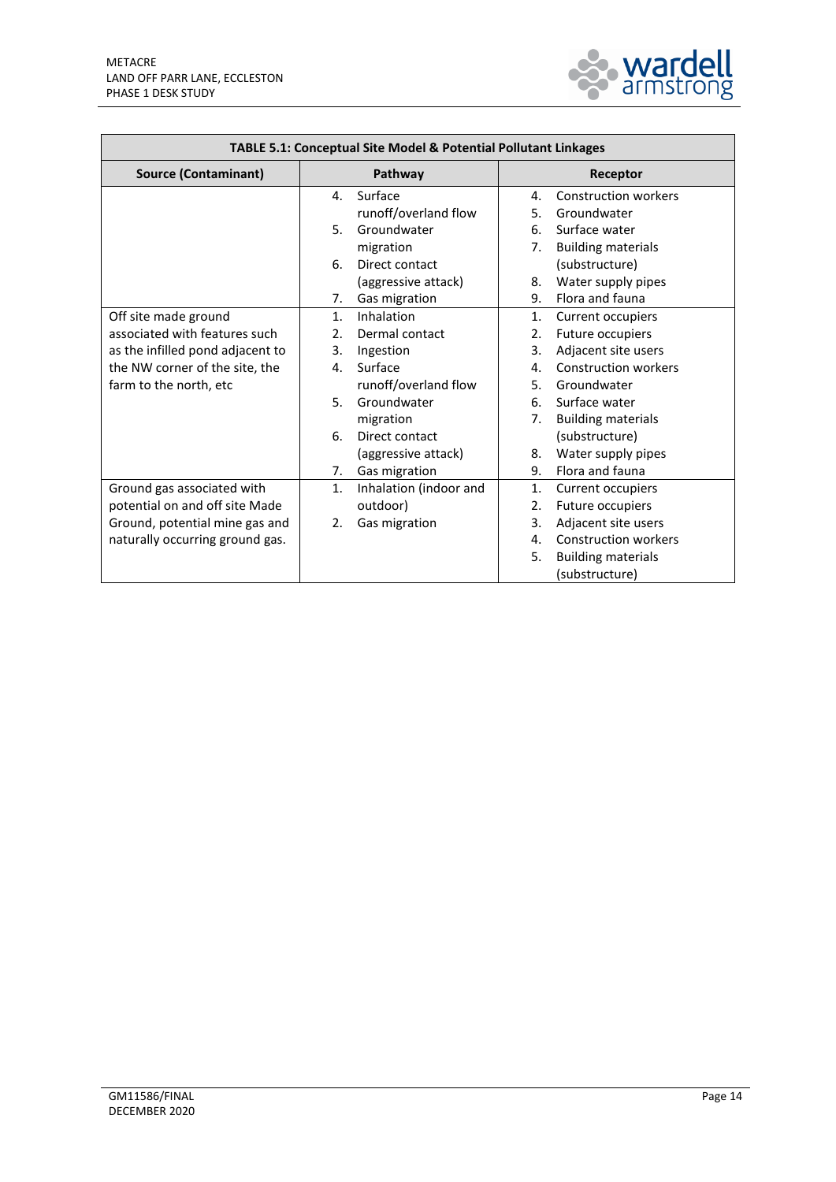

| TABLE 5.1: Conceptual Site Model & Potential Pollutant Linkages |                              |                                   |
|-----------------------------------------------------------------|------------------------------|-----------------------------------|
| <b>Source (Contaminant)</b>                                     | Pathway                      | Receptor                          |
|                                                                 | Surface<br>4.                | <b>Construction workers</b><br>4. |
|                                                                 | runoff/overland flow         | 5.<br>Groundwater                 |
|                                                                 | 5.<br>Groundwater            | 6.<br>Surface water               |
|                                                                 | migration                    | <b>Building materials</b><br>7.   |
|                                                                 | Direct contact<br>6.         | (substructure)                    |
|                                                                 | (aggressive attack)          | Water supply pipes<br>8.          |
|                                                                 | Gas migration<br>7.          | Flora and fauna<br>9.             |
| Off site made ground                                            | Inhalation<br>1.             | Current occupiers<br>1.           |
| associated with features such                                   | 2.<br>Dermal contact         | Future occupiers<br>2.            |
| as the infilled pond adjacent to                                | 3.<br>Ingestion              | 3.<br>Adjacent site users         |
| the NW corner of the site, the                                  | Surface<br>4.                | <b>Construction workers</b><br>4. |
| farm to the north, etc                                          | runoff/overland flow         | 5.<br>Groundwater                 |
|                                                                 | 5.<br>Groundwater            | Surface water<br>6.               |
|                                                                 | migration                    | 7.<br><b>Building materials</b>   |
|                                                                 | 6.<br>Direct contact         | (substructure)                    |
|                                                                 | (aggressive attack)          | Water supply pipes<br>8.          |
|                                                                 | Gas migration<br>7.          | Flora and fauna<br>9.             |
| Ground gas associated with                                      | 1.<br>Inhalation (indoor and | 1.<br>Current occupiers           |
| potential on and off site Made                                  | outdoor)                     | 2.<br>Future occupiers            |
| Ground, potential mine gas and                                  | 2.<br>Gas migration          | 3.<br>Adjacent site users         |
| naturally occurring ground gas.                                 |                              | <b>Construction workers</b><br>4. |
|                                                                 |                              | 5.<br><b>Building materials</b>   |
|                                                                 |                              | (substructure)                    |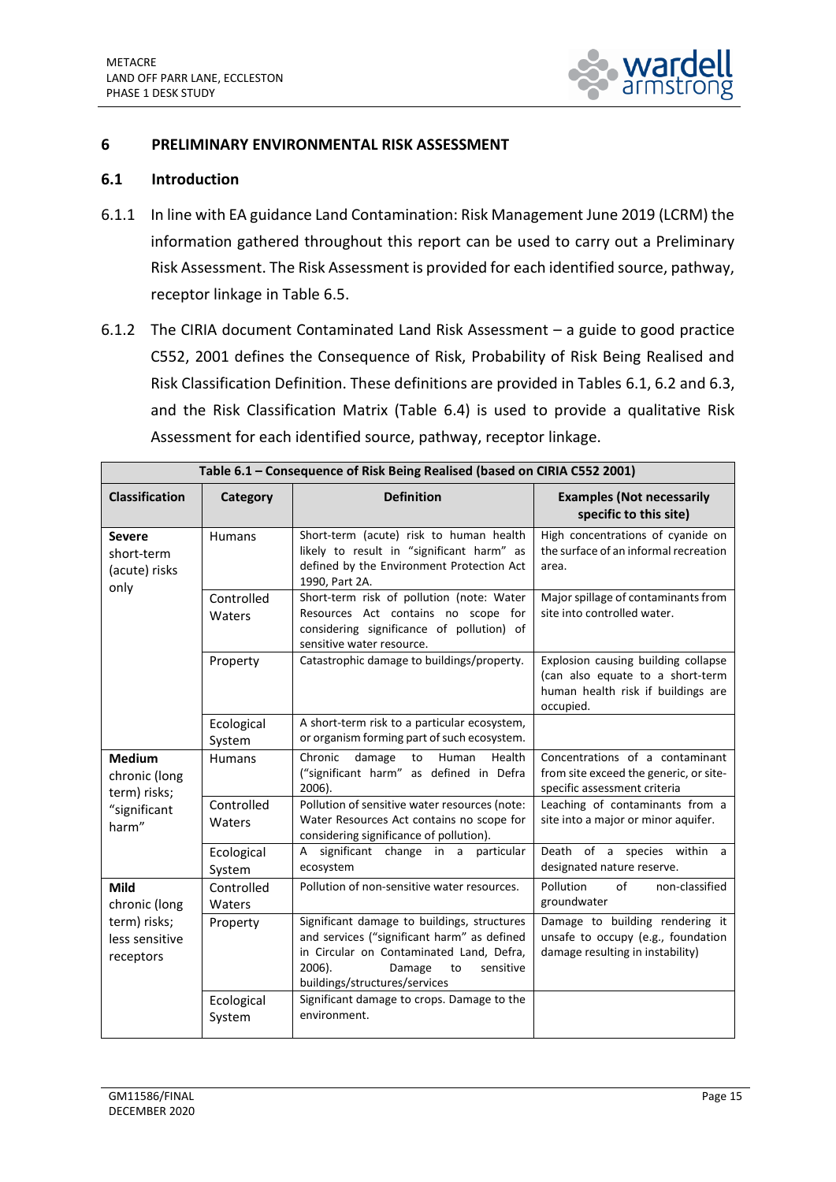

#### <span id="page-17-0"></span>**6 PRELIMINARY ENVIRONMENTAL RISK ASSESSMENT**

#### **6.1 Introduction**

- 6.1.1 In line with EA guidance Land Contamination: Risk Management June 2019 (LCRM) the information gathered throughout this report can be used to carry out a Preliminary Risk Assessment. The Risk Assessment is provided for each identified source, pathway, receptor linkage in Table 6.5.
- 6.1.2 The CIRIA document Contaminated Land Risk Assessment a guide to good practice C552, 2001 defines the Consequence of Risk, Probability of Risk Being Realised and Risk Classification Definition. These definitions are provided in Tables 6.1, 6.2 and 6.3, and the Risk Classification Matrix (Table 6.4) is used to provide a qualitative Risk Assessment for each identified source, pathway, receptor linkage.

| Table 6.1 - Consequence of Risk Being Realised (based on CIRIA C552 2001) |                      |                                                                                                                                                                                                                |                                                                                                                            |
|---------------------------------------------------------------------------|----------------------|----------------------------------------------------------------------------------------------------------------------------------------------------------------------------------------------------------------|----------------------------------------------------------------------------------------------------------------------------|
| <b>Classification</b>                                                     | <b>Category</b>      | <b>Definition</b>                                                                                                                                                                                              | <b>Examples (Not necessarily</b><br>specific to this site)                                                                 |
| <b>Severe</b><br>short-term<br>(acute) risks<br>only                      | <b>Humans</b>        | Short-term (acute) risk to human health<br>likely to result in "significant harm" as<br>defined by the Environment Protection Act<br>1990, Part 2A.                                                            | High concentrations of cyanide on<br>the surface of an informal recreation<br>area.                                        |
|                                                                           | Controlled<br>Waters | Short-term risk of pollution (note: Water<br>Resources Act contains no scope for<br>considering significance of pollution) of<br>sensitive water resource.                                                     | Major spillage of contaminants from<br>site into controlled water.                                                         |
|                                                                           | Property             | Catastrophic damage to buildings/property.                                                                                                                                                                     | Explosion causing building collapse<br>(can also equate to a short-term<br>human health risk if buildings are<br>occupied. |
|                                                                           | Ecological<br>System | A short-term risk to a particular ecosystem,<br>or organism forming part of such ecosystem.                                                                                                                    |                                                                                                                            |
| <b>Medium</b><br>chronic (long<br>term) risks;                            | <b>Humans</b>        | Chronic<br>damage<br>Human<br>Health<br>to<br>("significant harm" as defined in Defra<br>2006).                                                                                                                | Concentrations of a contaminant<br>from site exceed the generic, or site-<br>specific assessment criteria                  |
| "significant<br>harm"                                                     | Controlled<br>Waters | Pollution of sensitive water resources (note:<br>Water Resources Act contains no scope for<br>considering significance of pollution).                                                                          | Leaching of contaminants from a<br>site into a major or minor aquifer.                                                     |
|                                                                           | Ecological<br>System | significant change in a particular<br>$\overline{A}$<br>ecosystem                                                                                                                                              | Death of a species within a<br>designated nature reserve.                                                                  |
| <b>Mild</b><br>chronic (long                                              | Controlled<br>Waters | Pollution of non-sensitive water resources.                                                                                                                                                                    | non-classified<br>Pollution<br>of<br>groundwater                                                                           |
| term) risks;<br>less sensitive<br>receptors                               | Property             | Significant damage to buildings, structures<br>and services ("significant harm" as defined<br>in Circular on Contaminated Land, Defra,<br>2006).<br>sensitive<br>Damage<br>to<br>buildings/structures/services | Damage to building rendering it<br>unsafe to occupy (e.g., foundation<br>damage resulting in instability)                  |
|                                                                           | Ecological<br>System | Significant damage to crops. Damage to the<br>environment.                                                                                                                                                     |                                                                                                                            |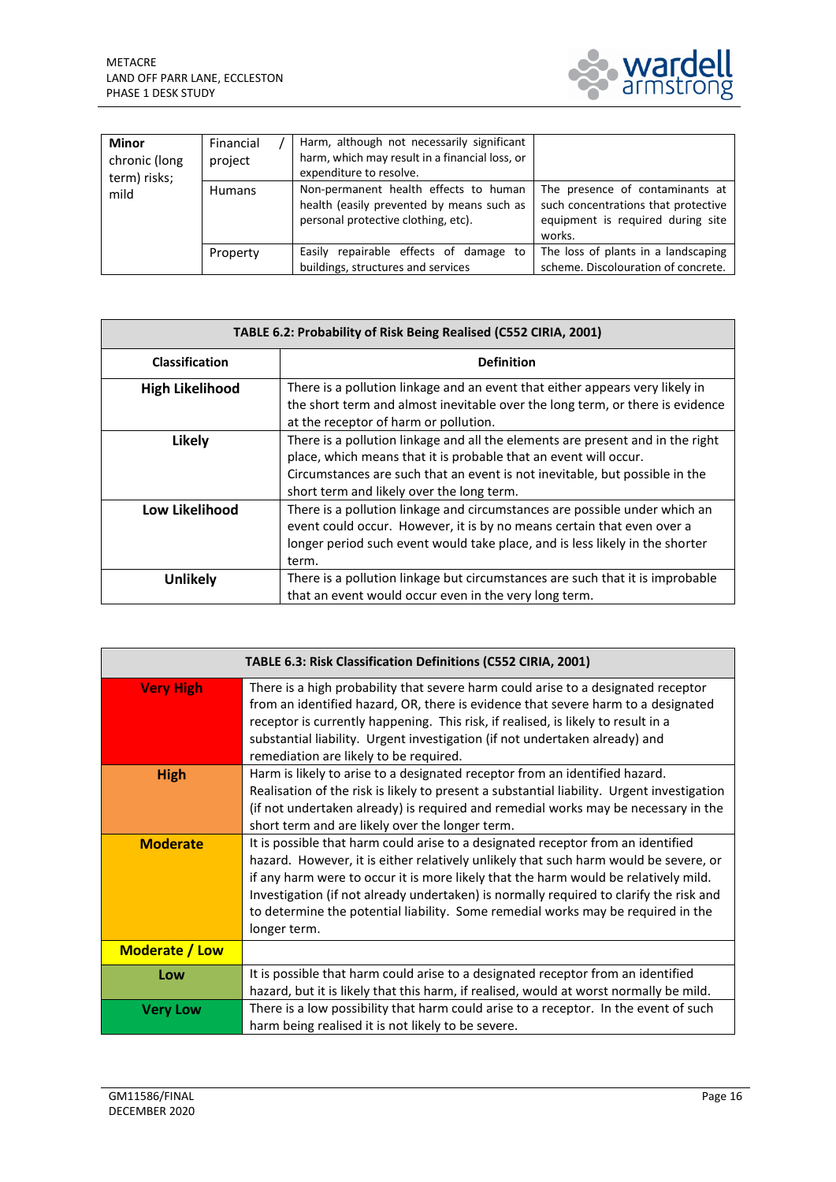

| <b>Minor</b><br>chronic (long<br>term) risks;<br>mild | Financial<br>project | Harm, although not necessarily significant<br>harm, which may result in a financial loss, or<br>expenditure to resolve.   |                                                                                                                       |
|-------------------------------------------------------|----------------------|---------------------------------------------------------------------------------------------------------------------------|-----------------------------------------------------------------------------------------------------------------------|
|                                                       | <b>Humans</b>        | Non-permanent health effects to human<br>health (easily prevented by means such as<br>personal protective clothing, etc). | The presence of contaminants at<br>such concentrations that protective<br>equipment is required during site<br>works. |
|                                                       | Property             | Easily repairable effects of damage to<br>buildings, structures and services                                              | The loss of plants in a landscaping<br>scheme. Discolouration of concrete.                                            |

| TABLE 6.2: Probability of Risk Being Realised (C552 CIRIA, 2001) |                                                                                                                                                                                                                                                                                |  |
|------------------------------------------------------------------|--------------------------------------------------------------------------------------------------------------------------------------------------------------------------------------------------------------------------------------------------------------------------------|--|
| <b>Classification</b>                                            | <b>Definition</b>                                                                                                                                                                                                                                                              |  |
| <b>High Likelihood</b>                                           | There is a pollution linkage and an event that either appears very likely in<br>the short term and almost inevitable over the long term, or there is evidence<br>at the receptor of harm or pollution.                                                                         |  |
| Likely                                                           | There is a pollution linkage and all the elements are present and in the right<br>place, which means that it is probable that an event will occur.<br>Circumstances are such that an event is not inevitable, but possible in the<br>short term and likely over the long term. |  |
| Low Likelihood                                                   | There is a pollution linkage and circumstances are possible under which an<br>event could occur. However, it is by no means certain that even over a<br>longer period such event would take place, and is less likely in the shorter<br>term.                                  |  |
| <b>Unlikely</b>                                                  | There is a pollution linkage but circumstances are such that it is improbable<br>that an event would occur even in the very long term.                                                                                                                                         |  |

| TABLE 6.3: Risk Classification Definitions (C552 CIRIA, 2001) |                                                                                                                                                                                                                                                                                                                                                                                                                                                               |  |  |  |
|---------------------------------------------------------------|---------------------------------------------------------------------------------------------------------------------------------------------------------------------------------------------------------------------------------------------------------------------------------------------------------------------------------------------------------------------------------------------------------------------------------------------------------------|--|--|--|
| <b>Very High</b>                                              | There is a high probability that severe harm could arise to a designated receptor<br>from an identified hazard, OR, there is evidence that severe harm to a designated<br>receptor is currently happening. This risk, if realised, is likely to result in a<br>substantial liability. Urgent investigation (if not undertaken already) and<br>remediation are likely to be required.                                                                          |  |  |  |
| <b>High</b>                                                   | Harm is likely to arise to a designated receptor from an identified hazard.<br>Realisation of the risk is likely to present a substantial liability. Urgent investigation<br>(if not undertaken already) is required and remedial works may be necessary in the<br>short term and are likely over the longer term.                                                                                                                                            |  |  |  |
| <b>Moderate</b>                                               | It is possible that harm could arise to a designated receptor from an identified<br>hazard. However, it is either relatively unlikely that such harm would be severe, or<br>if any harm were to occur it is more likely that the harm would be relatively mild.<br>Investigation (if not already undertaken) is normally required to clarify the risk and<br>to determine the potential liability. Some remedial works may be required in the<br>longer term. |  |  |  |
| Moderate / Low                                                |                                                                                                                                                                                                                                                                                                                                                                                                                                                               |  |  |  |
| Low                                                           | It is possible that harm could arise to a designated receptor from an identified<br>hazard, but it is likely that this harm, if realised, would at worst normally be mild.                                                                                                                                                                                                                                                                                    |  |  |  |
| <b>Very Low</b>                                               | There is a low possibility that harm could arise to a receptor. In the event of such<br>harm being realised it is not likely to be severe.                                                                                                                                                                                                                                                                                                                    |  |  |  |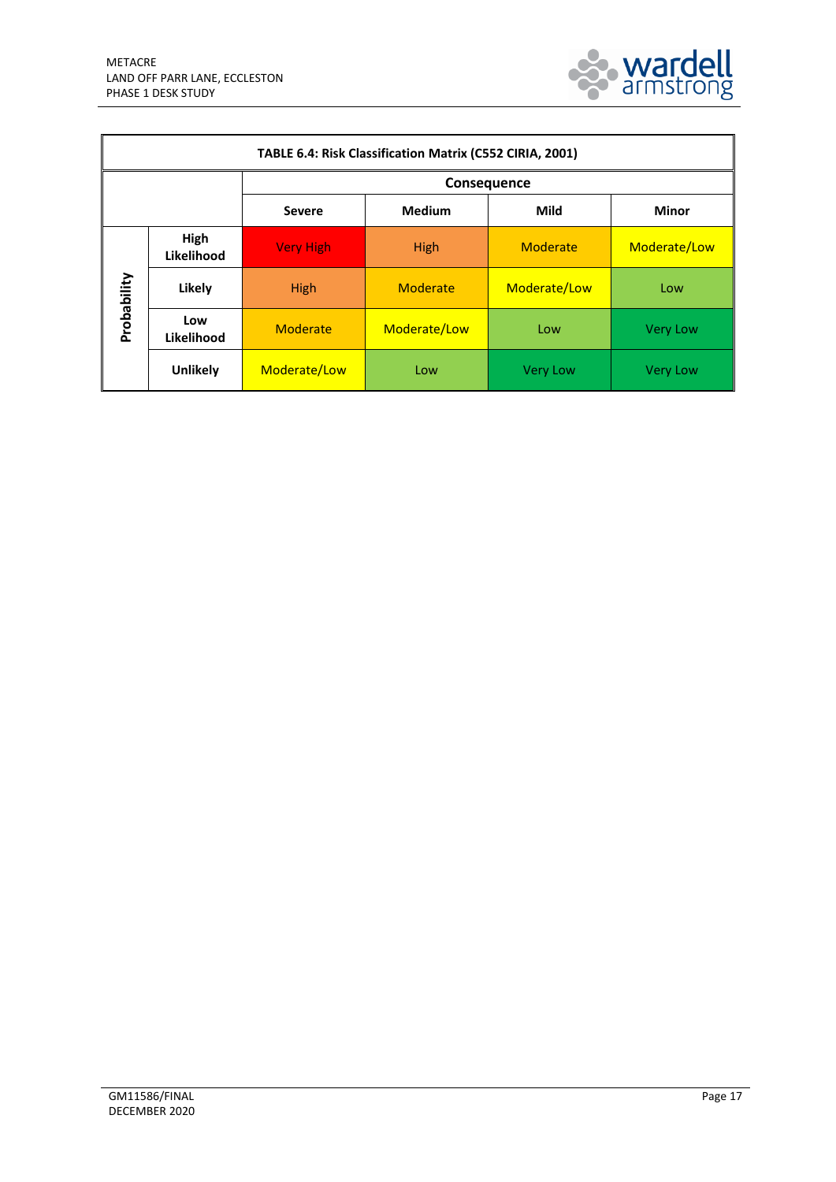

| TABLE 6.4: Risk Classification Matrix (C552 CIRIA, 2001) |                    |                  |                       |                 |                 |  |
|----------------------------------------------------------|--------------------|------------------|-----------------------|-----------------|-----------------|--|
|                                                          |                    | Consequence      |                       |                 |                 |  |
|                                                          |                    | <b>Severe</b>    | <b>Medium</b><br>Mild |                 | <b>Minor</b>    |  |
|                                                          | High<br>Likelihood | <b>Very High</b> | High                  | Moderate        | Moderate/Low    |  |
| Probability                                              | Likely             | High             | Moderate              | Moderate/Low    | Low             |  |
|                                                          | Low<br>Likelihood  | Moderate         | Moderate/Low          | Low             | <b>Very Low</b> |  |
|                                                          | <b>Unlikely</b>    | Moderate/Low     | Low                   | <b>Very Low</b> | <b>Very Low</b> |  |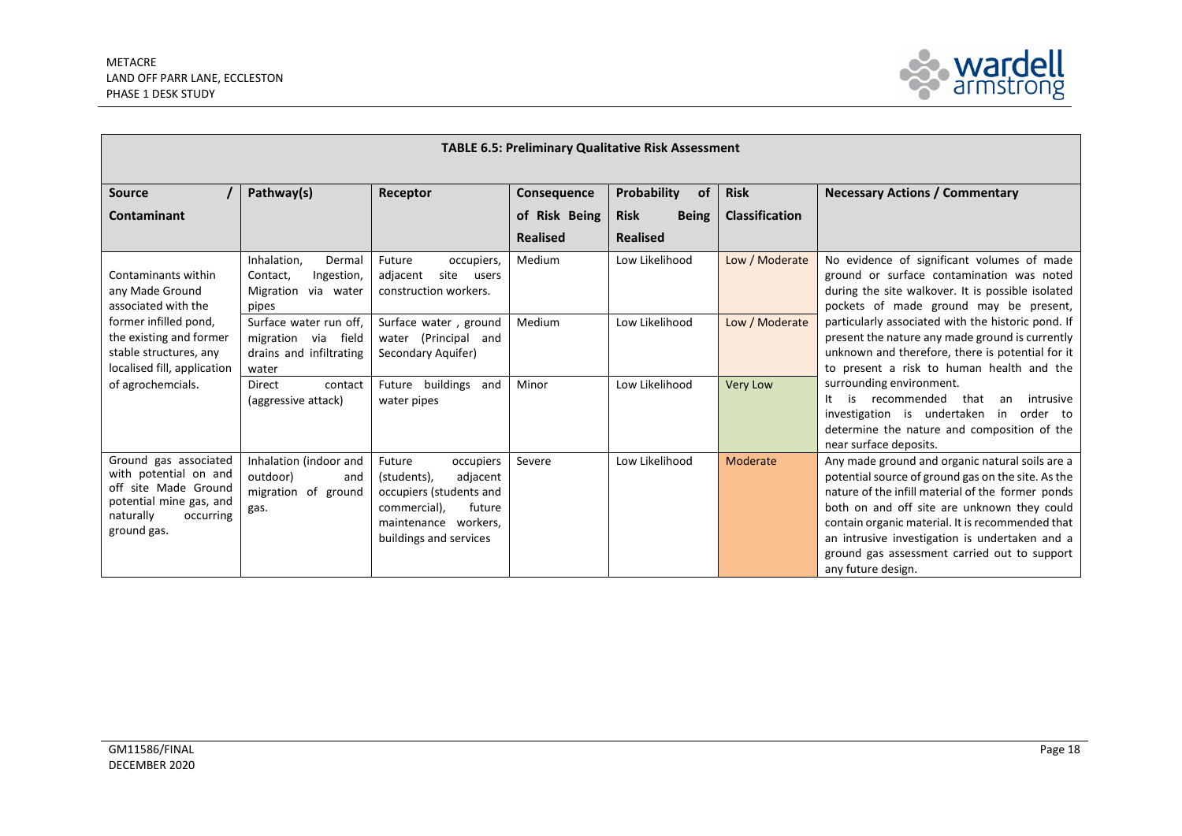$\overline{\phantom{0}}$ 



| <b>TABLE 6.5: Preliminary Qualitative Risk Assessment</b>                                                                                  |                                                                                   |                                                                                                                                                       |                 |                             |                       |                                                                                                                                                                                                                                                                                                                                                                                                  |  |
|--------------------------------------------------------------------------------------------------------------------------------------------|-----------------------------------------------------------------------------------|-------------------------------------------------------------------------------------------------------------------------------------------------------|-----------------|-----------------------------|-----------------------|--------------------------------------------------------------------------------------------------------------------------------------------------------------------------------------------------------------------------------------------------------------------------------------------------------------------------------------------------------------------------------------------------|--|
| <b>Source</b>                                                                                                                              | Pathway(s)                                                                        | Receptor                                                                                                                                              | Consequence     | Probability<br><b>of</b>    | <b>Risk</b>           | <b>Necessary Actions / Commentary</b>                                                                                                                                                                                                                                                                                                                                                            |  |
| <b>Contaminant</b>                                                                                                                         |                                                                                   |                                                                                                                                                       | of Risk Being   | <b>Being</b><br><b>Risk</b> | <b>Classification</b> |                                                                                                                                                                                                                                                                                                                                                                                                  |  |
|                                                                                                                                            |                                                                                   |                                                                                                                                                       | <b>Realised</b> | <b>Realised</b>             |                       |                                                                                                                                                                                                                                                                                                                                                                                                  |  |
| Contaminants within<br>any Made Ground<br>associated with the                                                                              | Inhalation,<br>Dermal<br>Contact,<br>Ingestion,<br>Migration via water<br>pipes   | Future<br>occupiers,<br>site<br>adjacent<br>users<br>construction workers.                                                                            | Medium          | Low Likelihood              | Low / Moderate        | No evidence of significant volumes of made<br>ground or surface contamination was noted<br>during the site walkover. It is possible isolated<br>pockets of made ground may be present,<br>particularly associated with the historic pond. If<br>present the nature any made ground is currently<br>unknown and therefore, there is potential for it<br>to present a risk to human health and the |  |
| former infilled pond,<br>the existing and former<br>stable structures, any<br>localised fill, application                                  | Surface water run off,<br>migration via field<br>drains and infiltrating<br>water | Surface water, ground<br>water (Principal and<br>Secondary Aquifer)                                                                                   | Medium          | Low Likelihood              | Low / Moderate        |                                                                                                                                                                                                                                                                                                                                                                                                  |  |
| of agrochemcials.                                                                                                                          | contact<br>Direct<br>(aggressive attack)                                          | Future buildings and<br>water pipes                                                                                                                   | Minor           | Low Likelihood              | <b>Very Low</b>       | surrounding environment.<br>is recommended<br>that<br>intrusive<br>It<br>an<br>investigation is undertaken in<br>order to<br>determine the nature and composition of the<br>near surface deposits.                                                                                                                                                                                               |  |
| Ground gas associated<br>with potential on and<br>off site Made Ground<br>potential mine gas, and<br>naturally<br>occurring<br>ground gas. | Inhalation (indoor and<br>outdoor)<br>and<br>migration of ground<br>gas.          | Future<br>occupiers<br>adjacent<br>(students),<br>occupiers (students and<br>commercial),<br>future<br>maintenance workers,<br>buildings and services | Severe          | Low Likelihood              | Moderate              | Any made ground and organic natural soils are a<br>potential source of ground gas on the site. As the<br>nature of the infill material of the former ponds<br>both on and off site are unknown they could<br>contain organic material. It is recommended that<br>an intrusive investigation is undertaken and a<br>ground gas assessment carried out to support<br>any future design.            |  |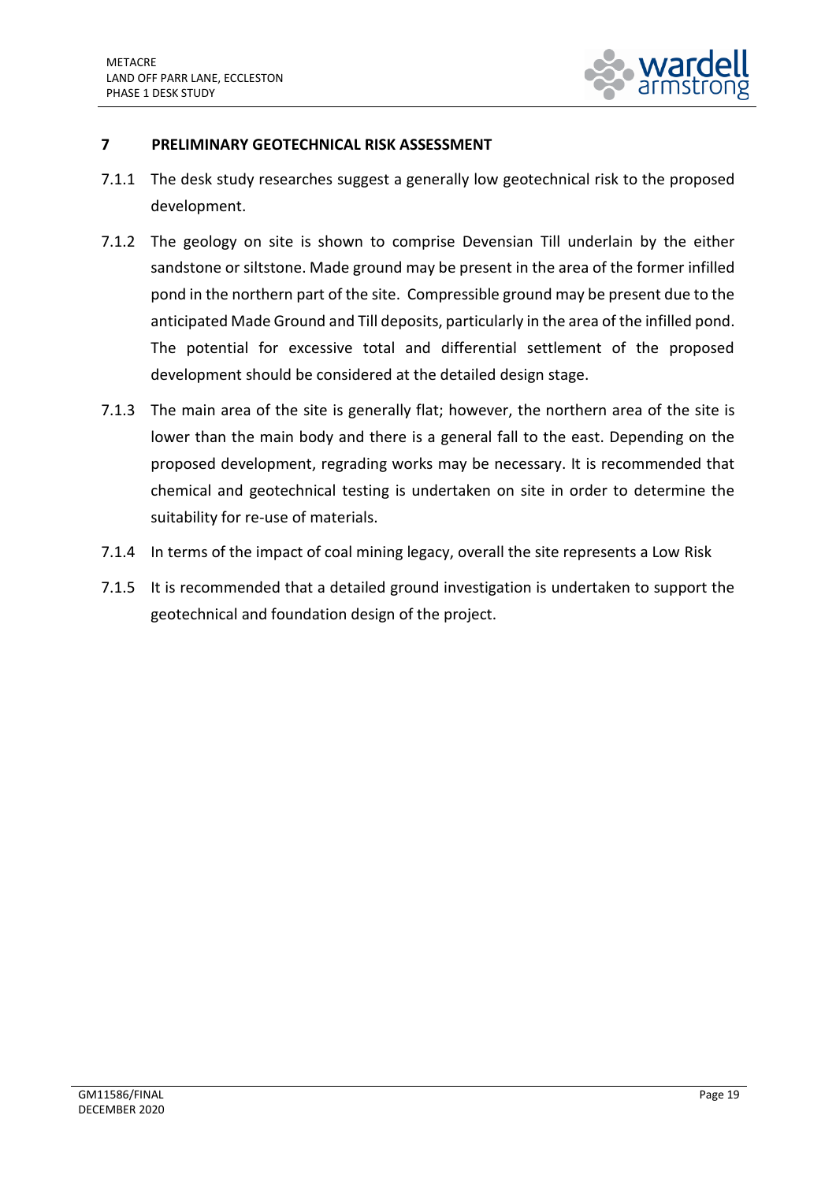

## <span id="page-21-0"></span>**7 PRELIMINARY GEOTECHNICAL RISK ASSESSMENT**

- 7.1.1 The desk study researches suggest a generally low geotechnical risk to the proposed development.
- 7.1.2 The geology on site is shown to comprise Devensian Till underlain by the either sandstone or siltstone. Made ground may be present in the area of the former infilled pond in the northern part of the site. Compressible ground may be present due to the anticipated Made Ground and Till deposits, particularly in the area of the infilled pond. The potential for excessive total and differential settlement of the proposed development should be considered at the detailed design stage.
- 7.1.3 The main area of the site is generally flat; however, the northern area of the site is lower than the main body and there is a general fall to the east. Depending on the proposed development, regrading works may be necessary. It is recommended that chemical and geotechnical testing is undertaken on site in order to determine the suitability for re-use of materials.
- 7.1.4 In terms of the impact of coal mining legacy, overall the site represents a Low Risk
- 7.1.5 It is recommended that a detailed ground investigation is undertaken to support the geotechnical and foundation design of the project.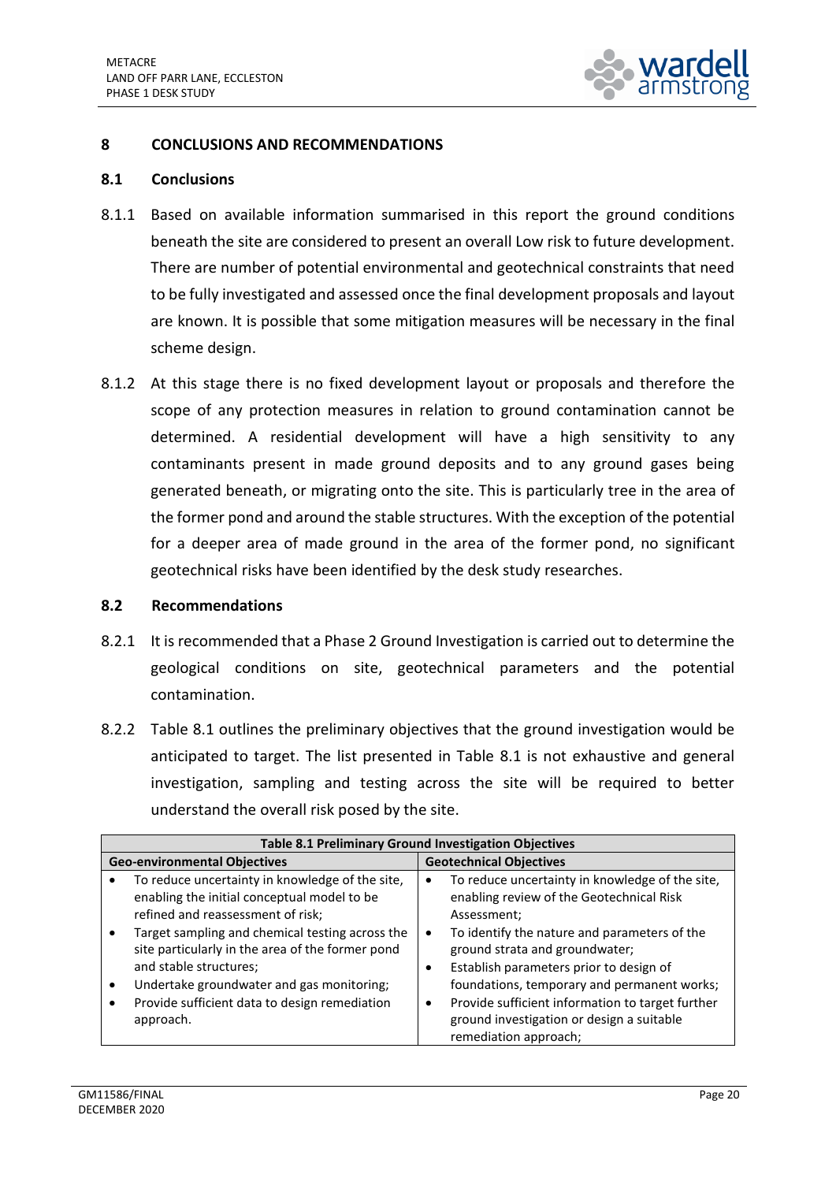

#### <span id="page-22-0"></span>**8 CONCLUSIONS AND RECOMMENDATIONS**

#### **8.1 Conclusions**

- 8.1.1 Based on available information summarised in this report the ground conditions beneath the site are considered to present an overall Low risk to future development. There are number of potential environmental and geotechnical constraints that need to be fully investigated and assessed once the final development proposals and layout are known. It is possible that some mitigation measures will be necessary in the final scheme design.
- 8.1.2 At this stage there is no fixed development layout or proposals and therefore the scope of any protection measures in relation to ground contamination cannot be determined. A residential development will have a high sensitivity to any contaminants present in made ground deposits and to any ground gases being generated beneath, or migrating onto the site. This is particularly tree in the area of the former pond and around the stable structures. With the exception of the potential for a deeper area of made ground in the area of the former pond, no significant geotechnical risks have been identified by the desk study researches.

#### **8.2 Recommendations**

- 8.2.1 It is recommended that a Phase 2 Ground Investigation is carried out to determine the geological conditions on site, geotechnical parameters and the potential contamination.
- 8.2.2 Table 8.1 outlines the preliminary objectives that the ground investigation would be anticipated to target. The list presented in Table 8.1 is not exhaustive and general investigation, sampling and testing across the site will be required to better understand the overall risk posed by the site.

|                                     | Table 8.1 Preliminary Ground Investigation Objectives                                                                                                              |                                |                                                                                                                                          |  |  |
|-------------------------------------|--------------------------------------------------------------------------------------------------------------------------------------------------------------------|--------------------------------|------------------------------------------------------------------------------------------------------------------------------------------|--|--|
| <b>Geo-environmental Objectives</b> |                                                                                                                                                                    | <b>Geotechnical Objectives</b> |                                                                                                                                          |  |  |
|                                     | To reduce uncertainty in knowledge of the site,<br>enabling the initial conceptual model to be                                                                     | ٠                              | To reduce uncertainty in knowledge of the site,<br>enabling review of the Geotechnical Risk                                              |  |  |
|                                     | refined and reassessment of risk;<br>Target sampling and chemical testing across the<br>site particularly in the area of the former pond<br>and stable structures; |                                | Assessment;<br>To identify the nature and parameters of the<br>ground strata and groundwater;<br>Establish parameters prior to design of |  |  |
|                                     | Undertake groundwater and gas monitoring;                                                                                                                          |                                | foundations, temporary and permanent works;                                                                                              |  |  |
| ٠                                   | Provide sufficient data to design remediation<br>approach.                                                                                                         | ٠                              | Provide sufficient information to target further<br>ground investigation or design a suitable<br>remediation approach;                   |  |  |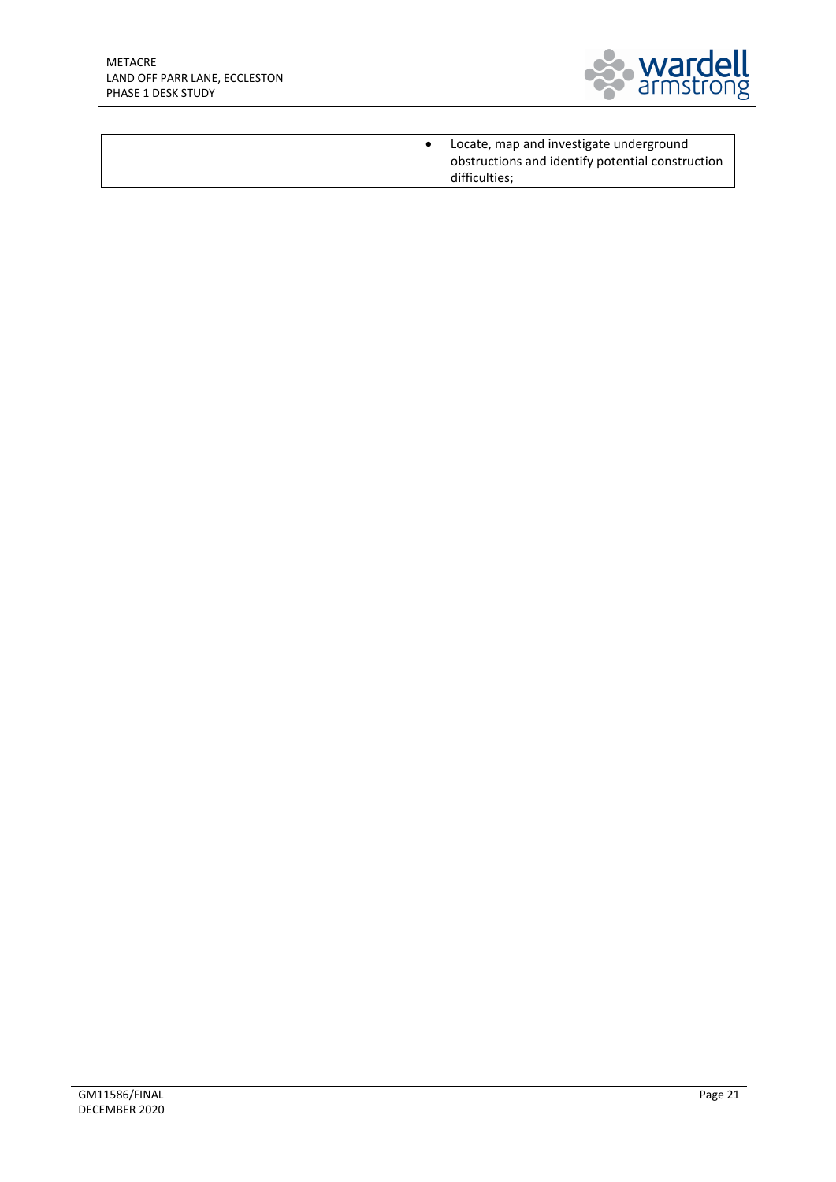